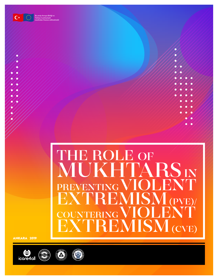

**Bu proje Avrupa Birliği ve Türkiye Cumhuriyeti tarafından finanse edilmektedir**

# IE ROLE OF MUKHTARSIN REVENTING VIOLENT<br>EXTREMISM (PVE) EXTREMISM<sub>(1</sub> COUNTERING **REMISM** (CVE)

ANKARA 2019



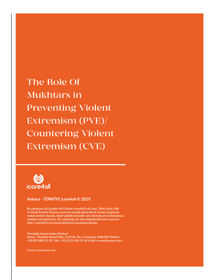The Role Of Mukhtars in Preventing Violent Extremism (PVE)/ Countering Violent Extremism (CVE)



# **Ankara - TÜRKİYE icare4all © 2019**

**Bu çalışmaya ait içeriğin telif hakları icare4all'a ait olup, 5846 Sayılı Fikir ve Sanat Eserleri Kanunu uyarınca kaynak gösterilerek kısmen yapılacak makul alıntılar dışında, hiçbir şekilde önceden izin alınmaksızın kullanılamaz, yeniden yayımlanamaz. Bu çalışmada yer alan değerlendirmeler yazarına aittir; icare4all'ın kurumsal görüşünü yansıtmamaktadır.**

**Ortadoğu Araştırmaları Merkezi Adresi : Mustafa Kemal Mah. 2128 Sk. No: 3 Çankaya, ANKARA Telefon: +90 850 888 15 20 Faks: +90 (312) 430 39 48 Email: orsam@orsam.org.tr**

**Tasarım: beyzaerden.com**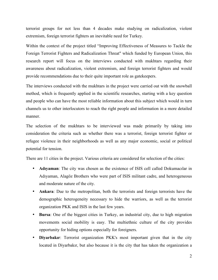terrorist groups for not less than 4 decades make studying on radicalization, violent extremism, foreign terrorist fighters an inevitable need for Turkey.

Within the context of the project titled "Improving Effectiveness of Measures to Tackle the Foreign Terrorist Fighters and Radicalization Threat" which funded by European Union, this research report will focus on the interviews conducted with mukhtars regarding their awareness about radicalization, violent extremism, and foreign terrorist fighters and would provide recommendations due to their quite important role as gatekeepers.

The interviews conducted with the mukhtars in the project were carried out with the snowball method, which is frequently applied in the scientific researches, starting with a key question and people who can have the most reliable information about this subject which would in turn channels us to other interlocutors to reach the right people and information in a more detailed manner.

The selection of the mukhtars to be interviewed was made primarily by taking into consideration the criteria such as whether there was a terrorist, foreign terrorist fighter or refugee violence in their neighborhoods as well as any major economic, social or political potential for tension.

There are 11 cities in the project. Various criteria are considered for selection of the cities:

- **Adıyaman**: The city was chosen as the existence of ISIS cell called Dokumacılar in Adıyaman, Alagöz Brothers who were part of ISIS militant cadre, and heterogeneous and moderate nature of the city.
- **Ankara**: Due to the metropolitan, both the terrorists and foreign terrorists have the demographic heterogeneity necessary to hide the warriors, as well as the terrorist organization PKK and ISIS in the last few years.
- **Bursa**: One of the biggest cities in Turkey, an industrial city, due to high migration movements social mobility is easy. The multiethnic culture of the city provides opportunity for hiding options especially for foreigners.
- **Diyarbakır**: Terrorist organization PKK's most important given that in the city located in Diyarbakır, but also because it is the city that has taken the organization a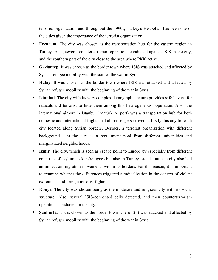terrorist organization and throughout the 1990s, Turkey's Hezbollah has been one of the cities given the importance of the terrorist organization.

- **Erzurum**: The city was chosen as the transportation hub for the eastern region in Turkey. Also, several counterterrorism operations conducted against ISIS in the city, and the southern part of the city close to the area where PKK active.
- **Gaziantep**: It was chosen as the border town where ISIS was attacked and affected by Syrian refugee mobility with the start of the war in Syria.
- **Hatay**: It was chosen as the border town where ISIS was attacked and affected by Syrian refugee mobility with the beginning of the war in Syria.
- **Istanbul**: The city with its very complex demographic nature provides safe havens for radicals and terrorist to hide them among this heterogeneous population. Also, the international airport in Istanbul (Atatürk Airport) was a transportation hub for both domestic and international flights that all passengers arrived at firstly this city to reach city located along Syrian borders. Besides, a terrorist organization with different background uses the city as a recruitment pool from different universities and marginalized neighborhoods.
- **Izmir**: The city, which is seen as escape point to Europe by especially from different countries of asylum seekers/refugees but also in Turkey, stands out as a city also had an impact on migration movements within its borders. For this reason, it is important to examine whether the differences triggered a radicalization in the context of violent extremism and foreign terrorist fighters.
- **Konya**: The city was chosen being as the moderate and religious city with its social structure. Also, several ISIS-connected cells detected, and then counterterrorism operations conducted in the city.
- **Şanlıurfa**: It was chosen as the border town where ISIS was attacked and affected by Syrian refugee mobility with the beginning of the war in Syria.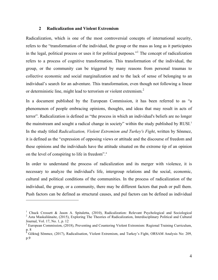#### **2 Radicalization and Violent Extremism**

Radicalization, which is one of the most controversial concepts of international security, refers to the "transformation of the individual, the group or the mass as long as it participates in the legal, political process or uses it for political purposes."<sup>1</sup> The concept of radicalization refers to a process of cognitive transformation. This transformation of the individual, the group, or the community can be triggered by many reasons from personal traumas to collective economic and social marginalization and to the lack of sense of belonging to an individual's search for an adventure. This transformation, even though not following a linear or deterministic line, might lead to terrorism or violent extremism.<sup>2</sup>

In a document published by the European Commission, it has been referred to as "a phenomenon of people embracing opinions, thoughts, and ideas that may result in acts of terror". Radicalization is defined as "the process in which an individual's beliefs are no longer the mainstream and sought a radical change in society" within the study published by RUSI.<sup>3</sup> In the study titled *Radicalization, Violent Extremism and Turkey's Fight*, written by Sönmez, it is defined as the "expression of opposing views or attitude and the discourse of freedom and these opinions and the individuals have the attitude situated on the extreme tip of an opinion on the level of conspiring to life in freedom". 4

In order to understand the process of radicalization and its merger with violence, it is necessary to analyze the individual's life, intergroup relations and the social, economic, cultural and political conditions of the communities. In the process of radicalization of the individual, the group, or a community, there may be different factors that push or pull them. Push factors can be defined as structural causes, and pul factors can be defined as individual

<sup>&</sup>lt;sup>1</sup> Chuck Crossett & Jason A. Spitaletta, (2010), Radicalization: Relevant Psychological and Sociological <sup>2</sup> Asta Maskaliünaite, (2015), Exploring The Theories of Radicalization, Interdisciplinary Political and Cultural Journal, Vol. 17, No. 1, p. 12

<sup>&</sup>lt;sup>3</sup> European Commission, (2018), Preventing and Countering Violent Extremism: Regional Training Curriculum, p. 8

<sup>4</sup> Göktuğ Sönmez, (2017), Radicalisation, Violent Extremism, and Turkey's Fight, ORSAM Analysis No: 209, p.9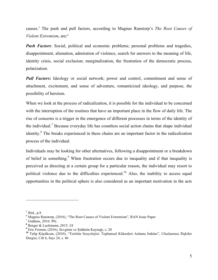causes.5 The push and pull factors, according to Magnus Ranstorp's *The Root Causes of Violent Extremism, are:*<sup>6</sup>

*Push Factors*: Social, political and economic problems; personal problems and tragedies, disappointment, alienation, admiration of violence, search for answers to the meaning of life, identity crisis, social exclusion; marginalization, the frustration of the democratic process, polarization.

**Pull Factors:** Ideology or social network; power and control, commitment and sense of attachment, excitement, and sense of adventure, romanticized ideology, and purpose, the possibility of heroism.

When we look at the process of radicalization, it is possible for the individual to be concerned with the interruption of the routines that have an important place in the flow of daily life. The rise of concerns is a trigger in the emergence of different processes in terms of the identity of the individual.7 Because everyday life has countless social action chains that shape individual identity.<sup>8</sup> The breaks experienced in these chains are an important factor in the radicalization process of the individual.

Individuals may be looking for other alternatives, following a disappointment or a breakdown of belief in something.<sup>9</sup> When frustration occurs due to inequality and if that inequality is perceived as directing at a certain group for a particular reason, the individual may resort to political violence due to the difficulties experienced.<sup>10</sup> Also, the inability to access equal opportunities in the political sphere is also considered as an important motivation in the acts

<sup>&</sup>lt;sup>5</sup> Ibid., p.8<br><sup>6</sup> Magnus Ranstorp, (2016), "The Root Causes of Violent Extremism", RAN Issue Paper <sup>7</sup> Giddens, 2016: 99).

**<sup>8</sup>** Berger & Luckmann, 2015: 24

<sup>&</sup>lt;sup>10</sup> Talip Küçükcan, (2010), "Terörün Sosyolojisi: Toplumsal Kökenleri Anlama İmkânı", Uluslararası İlişkiler Dergisi, Cilt 6, Sayı 24, s. 46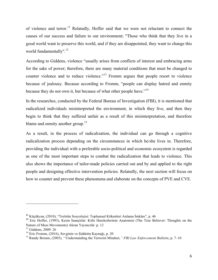of violence and terror.<sup>11</sup> Relatedly, Hoffer said that we were not reluctant to connect the causes of our success and failure to our environment; "Those who think that they live in a good world want to preserve this world, and if they are disappointed, they want to change this world fundamentally".<sup>12</sup>

According to Giddens, violence "usually arises from conflicts of interest and embracing arms for the sake of power; therefore, there are many material conditions that must be changed to counter violence and to reduce violence."<sup>13</sup> Fromm argues that people resort to violence because of jealousy. Because according to Fromm, "people can display hatred and enmity because they do not own it, but because of what other people have."<sup>14</sup>

In the researches, conducted by the Federal Bureau of Investigation (FBI), it is mentioned that radicalized individuals misinterpreted the environment, in which they live, and then they begin to think that they suffered unfair as a result of this misinterpretation, and therefore blame and enmity another group.<sup>15</sup>

As a result, in the process of radicalization, the individual can go through a cognitive radicalization process depending on the circumstances in which he/she lives in. Therefore, providing the individual with a preferable socio-political and economic ecosystem is regarded as one of the most important steps to combat the radicalization that leads to violence. This also shows the importance of tailor-made policies carried out and by and applied to the right people and designing effective intervention policies. Relatedly, the next section will focus on how to counter and prevent these phenomena and elaborate on the concepts of PVE and CVE.

**<sup>11</sup>** Küçükcan, (2010), "Terörün Sosyolojisi: Toplumsal Kökenleri Anlama İmkânı", p. 46 **<sup>12</sup>** Eric Hoffer, (1993), Kesin İnançlılar: Kitle Hareketlerinin Anatomisi (The True Believer: Thoughts on the Nature of Mass Movements) Akran Yayıncılık: p. 12

<sup>&</sup>lt;sup>13</sup> Giddens, 2009: 26<br><sup>14</sup> Eric Fromm, (2016), Sevginin ve Şiddetin Kaynağı, p. 20<br><sup>15</sup> Randy Borum, (2003), ''Understanding the Terrorist Mindset,*'' FBI Law Enforcement Bulletin*, p. 7–10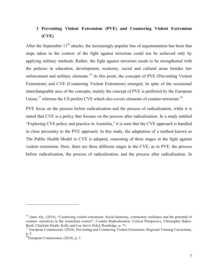# **3 Preventing Violent Extremism (PVE) and Countering Violent Extremism (CVE)**

After the September  $11<sup>th</sup>$  attacks, the increasingly popular line of argumentation has been that steps taken in the context of the fight against terrorism could not be achieved only by applying military methods. Rather, the fight against terrorism needs to be strengthened with the policies in education, development, economy, social and cultural areas besides law enforcement and military elements.<sup>16</sup> At this point, the concepts of PVE (Preventing Violent Extremism) and CVE (Countering Violent Extremism) emerged. In spite of the occasional interchangeable uses of the concepts, mainly the concept of PVE is preferred by the European Union,<sup>17</sup> whereas the US prefers CVE which also covers elements of counter-terrorism.<sup>18</sup>

PVE focus on the process before radicalization and the process of radicalization, while it is stated that CVE is a policy that focuses on the process after radicalization. In a study entitled "Exploring CVE policy and practice in Australia," it is seen that the CVE approach is handled in close proximity to the PVE approach. In this study, the adaptation of a method known as The Public Health Model to CVE is adopted, consisting of three stages in the fight against violent extremism. Here, there are three different stages in the CVE, as in PVE, the process before radicalization, the process of radicalization, and the process after radicalization. In

<sup>&</sup>lt;sup>16</sup> Anne Aly, (2014), "Countering violent extremism: Social harmony, community resilience and the potential of counter- narratives in the Australian context", Counter Radicalization: Critical Perspective, Christopher Baker-Beall, Charlotte Heath- Kelly and Lee Jarvis (Eds), Routledge, p. 71<br><sup>17</sup> European Commission, (2018), Preventing and Countering Violent Extremism: Regional Training Curriculum,

p. 5

<sup>&</sup>lt;sup>18</sup>European Commission, (2018), p. 5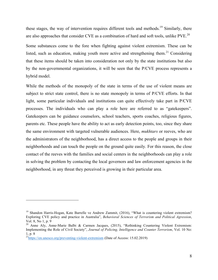these stages, the way of intervention requires different tools and methods.<sup>19</sup> Similarly, there are also approaches that consider CVE as a combination of hard and soft tools, unlike PVE.<sup>20</sup>

Some substances come to the fore when fighting against violent extremism. These can be listed, such as education, making youth more active and strengthening them.<sup>21</sup> Considering that these items should be taken into consideration not only by the state institutions but also by the non-governmental organizations, it will be seen that the P/CVE process represents a hybrid model.

While the methods of the monopoly of the state in terms of the use of violent means are subject to strict state control, there is no state monopoly in terms of P/CVE efforts. In that light, some particular individuals and institutions can quite effectively take part in P/CVE processes. The individuals who can play a role here are referred to as "gatekeepers". Gatekeepers can be guidance counselors, school teachers, sports coaches, religious figures, parents etc. These people have the ability to act as early detection points, too, since they share the same environment with targeted vulnerable audiences. Here, *mukhtars* or reeves, who are the administrators of the neighborhood, has a direct access to the people and groups in their neighborhoods and can touch the people on the ground quite easily. For this reason, the close contact of the reeves with the families and social centers in the neighborhoods can play a role in solving the problem by contacting the local governors and law enforcement agencies in the neighborhood, in any threat they perceived is growing in their particular area.

<sup>&</sup>lt;sup>19</sup> Shandon Harris-Hogan, Kate Barrelle ve Andrew Zammit, (2016), "What is countering violent extremism? Exploring CVE policy and practice in Australia", *Behavioral Sciences of Terrorism and Political Agression*, Vol. 8, No 1, p. 9<br><sup>20</sup> Anne Aly, Anne-Marie Balbi & Carmen Jacques, (2015), "Rethinking Countering Violent Extremism:

Implementing the Role of Civil Society", *Journal of Policing, Intelligence and Counter Terrorism*, Vol. 10 No: 1, p. 8 21https://en.unesco.org/preventing-violent-extremism (Date of Access: 15.02.2019)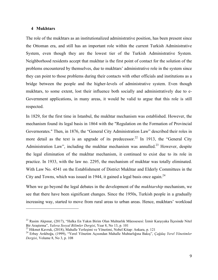#### **4 Mukhtars**

 $\overline{a}$ 

The role of the mukhtars as an institutionalized administrative position, has been present since the Ottoman era, and still has an important role within the current Turkish Administrative System, even though they are the lowest tier of the Turkish Administrative System. Neighborhood residents accept that mukhtar is the first point of contact for the solution of the problems encountered by themselves, due to mukhtars' administrative role in the system since they can point to those problems during their contacts with other officials and institutions as a bridge between the people and the higher-levels of administrative system. Even though mukhtars, to some extent, lost their influence both socially and administratively due to e-Government applications, in many areas, it would be valid to argue that this role is still respected.

In 1829, for the first time in Istanbul, the mukhtar mechanism was established. However, the mechanism found its legal basis in 1864 with the "Regulation on the Formation of Provincial Governorates." Then, in 1876, the "General City Administration Law" described their roles in more detail as the text is an upgrade of its predecessor.<sup>22</sup> In 1913, the "General City Administration Law", including the mukhtar mechanism was annulled.<sup>23</sup> However, despite the legal elimination of the mukhtar mechanism, it continued to exist due to its role in practice. In 1933, with the law no. 2295, the mechanism of mukhtar was totally eliminated. With Law No. 4541 on the Establishment of District Mukhtar and Elderly Committees in the City and Towns, which was issued in 1944, it gained a legal basis once again.<sup>24</sup>

When we go beyond the legal debates in the development of the *mukhtarship* mechanism, we see that there have been significant changes. Since the 1950s, Turkish people in a gradually increasing way, started to move from rural areas to urban areas. Hence, mukhtars' workload

<sup>22</sup> Rasim Akpınar, (2017), "Halka En Yakın Birim Olan Muhtarlık Müessesesi: İzmir Karşıyaka İlçesinde Nitel Bir Araştırma", *Yalova Sosyal Bilimler Dergisi*, Year 8, No 13, p. 101<br><sup>23</sup> Hikmet Kavruk, (2018), Mahalle Yerleşimi ve Yönetimi, Nobel Kitap: Ankara, p. 121<br><sup>24</sup> Erbay Arıkboğa, (1999), "Yerel Yönetim Açısından Mahalle M

*Dergisi*, Volume 8, No 3, p. 108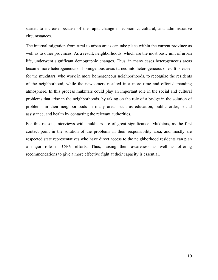started to increase because of the rapid change in economic, cultural, and administrative circumstances.

The internal migration from rural to urban areas can take place within the current province as well as to other provinces. As a result, neighborhoods, which are the most basic unit of urban life, underwent significant demographic changes. Thus, in many cases heterogeneous areas became more heterogeneous or homogenous areas turned into heterogeneous ones. It is easier for the mukhtars, who work in more homogeneous neighborhoods, to recognize the residents of the neighborhood, while the newcomers resulted in a more time and effort-demanding atmosphere. In this process mukhtars could play an important role in the social and cultural problems that arise in the neighborhoods. by taking on the role of a bridge in the solution of problems in their neighborhoods in many areas such as education, public order, social assistance, and health by contacting the relevant authorities.

For this reason, interviews with mukhtars are of great significance. Mukhtars, as the first contact point in the solution of the problems in their responsibility area, and mostly are respected state representatives who have direct access to the neighborhood residents can plan a major role in C/PV efforts. Thus, raising their awareness as well as offering recommendations to give a more effective fight at their capacity is essential.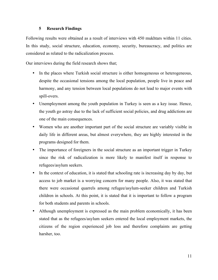# **5 Research Findings**

Following results were obtained as a result of interviews with 450 mukhtars within 11 cities. In this study, social structure, education, economy, security, bureaucracy, and politics are considered as related to the radicalization process.

Our interviews during the field research shows that;

- In the places where Turkish social structure is either homogeneous or heterogeneous, despite the occasional tensions among the local population, people live in peace and harmony, and any tension between local populations do not lead to major events with spill-overs.
- Unemployment among the youth population in Turkey is seen as a key issue. Hence, the youth go astray due to the lack of sufficient social policies, and drug addictions are one of the main consequences.
- Women who are another important part of the social structure are variably visible in daily life in different areas, but almost everywhere, they are highly interested in the programs designed for them.
- The importance of foreigners in the social structure as an important trigger in Turkey since the risk of radicalization is more likely to manifest itself in response to refugees/asylum seekers.
- In the context of education, it is stated that schooling rate is increasing day by day, but access to job market is a worrying concern for many people. Also, it was stated that there were occasional quarrels among refugee/asylum-seeker children and Turkish children in schools. At this point, it is stated that it is important to follow a program for both students and parents in schools.
- Although unemployment is expressed as the main problem economically, it has been stated that as the refugees/asylum seekers entered the local employment markets, the citizens of the region experienced job loss and therefore complaints are getting harsher, too.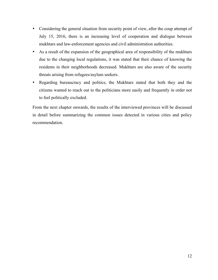- Considering the general situation from security point of view, after the coup attempt of July 15, 2016, there is an increasing level of cooperation and dialogue between mukhtars and law-enforcement agencies and civil administration authorities.
- As a result of the expansion of the geographical area of responsibility of the mukhtars due to the changing local regulations, it was stated that their chance of knowing the residents in their neighborhoods decreased. Mukhtars are also aware of the security threats arising from refugees/asylum seekers.
- Regarding bureaucracy and politics, the Mukhtars stated that both they and the citizens wanted to reach out to the politicians more easily and frequently in order not to feel politically excluded.

From the next chapter onwards, the results of the interviewed provinces will be discussed in detail before summarizing the common issues detected in various cities and policy recommendation.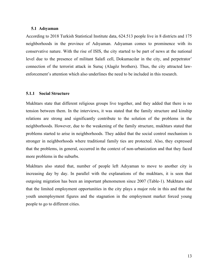# **5.1 Adıyaman**

According to 2018 Turkish Statistical Institute data, 624.513 people live in 8 districts and 175 neighborhoods in the province of Adıyaman. Adıyaman comes to prominence with its conservative nature. With the rise of ISIS, the city started to be part of news at the national level due to the presence of militant Salafi cell, Dokumacılar in the city, and perpetrator' connection of the terrorist attack in Suruç (Alagöz brothers). Thus, the city attracted lawenforcement's attention which also underlines the need to be included in this research.

# **5.1.1 Social Structure**

Mukhtars state that different religious groups live together, and they added that there is no tension between them. In the interviews, it was stated that the family structure and kinship relations are strong and significantly contribute to the solution of the problems in the neighborhoods. However, due to the weakening of the family structure, mukhtars stated that problems started to arise in neighborhoods. They added that the social control mechanism is stronger in neighborhoods where traditional family ties are protected. Also, they expressed that the problems, in general, occurred in the context of non-urbanization and that they faced more problems in the suburbs.

Mukhtars also stated that, number of people left Adıyaman to move to another city is increasing day by day. In parallel with the explanations of the mukhtars, it is seen that outgoing migration has been an important phenomenon since 2007 (Table-1). Mukhtars said that the limited employment opportunities in the city plays a major role in this and that the youth unemployment figures and the stagnation in the employment market forced young people to go to different cities.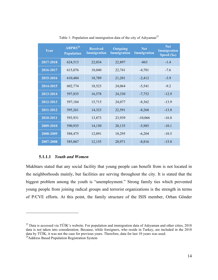| Year      | $ABPRS^{26}$<br><b>Population</b> | <b>Received</b><br><b>Immigration</b> | Outgoing<br><b>Immigration</b> | <b>Net</b><br><b>Immigration</b> | <b>Net</b><br><b>Immigration</b><br>Speed (‰) |
|-----------|-----------------------------------|---------------------------------------|--------------------------------|----------------------------------|-----------------------------------------------|
| 2017-2018 | 624,513                           | 22,034                                | 22,897                         | $-863$                           | $-1.4$                                        |
| 2016-2017 | 615,076                           | 18,040                                | 22,741                         | $-4,701$                         | $-7.6$                                        |
| 2015-2016 | 610,484                           | 18,789                                | 21,201                         | $-2,412$                         | $-3.9$                                        |
| 2014-2015 | 602,774                           | 18,523                                | 24,064                         | $-5,541$                         | $-9.2$                                        |
| 2013-2014 | 597,835                           | 16,578                                | 24,330                         | $-7,752$                         | $-12.9$                                       |
| 2012-2013 | 597,184                           | 15,715                                | 24,077                         | $-8,362$                         | $-13.9$                                       |
| 2011-2012 | 595,261                           | 14,323                                | 22,591                         | $-8,268$                         | $-13.8$                                       |
| 2010-2011 | 593,931                           | 13,873                                | 23,939                         | $-10,066$                        | $-16.8$                                       |
| 2009-2010 | 590,935                           | 14,150                                | 20,135                         | $-5,985$                         | $-10.1$                                       |
| 2008-2009 | 588,475                           | 12,091                                | 18,295                         | $-6,204$                         | $-10.5$                                       |
| 2007-2008 | 585,067                           | 12,155                                | 20,971                         | $-8,816$                         | $-15.0$                                       |

Table 1- Population and immigration data of the city of Adıyaman<sup>25</sup>

# **5.1.1.1** *Youth and Women*

 $\overline{a}$ 

Mukhtars stated that any social facility that young people can benefit from is not located in the neighborhoods mainly, but facilities are serving throughout the city. It is stated that the biggest problem among the youth is "unemployment." Strong family ties which prevented young people from joining radical groups and terrorist organizations is the strength in terms of P/CVE efforts. At this point, the family structure of the ISIS member, Orhan Gönder

 $^{25}$  Data is accessed via TÜİK's website. For population and immigration data of Adıyaman and other cities, 2018 data is not taken into consideration. Because, while foreigners, who reside in Turkey, are included in the 2018 data by TÜİK, it was not the case for previous years. Therefore, data for last 10 years was used. <sup>26</sup>Address Based Population Registration System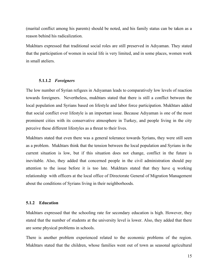(marital conflict among his parents) should be noted, and his family status can be taken as a reason behind his radicalization.

Mukhtars expressed that traditional social roles are still preserved in Adıyaman. They stated that the participation of women in social life is very limited, and in some places, women work in small ateliers.

# **5.1.1.2** *Foreigners*

The low number of Syrian refıgees in Adıyaman leads to comparatively low levels of reaction towards foreigners. Nevertheless, mukhtars stated that there is still a conflict between the local population and Syrians based on lifestyle and labor force participation. Mukhtars added that social conflict over lifestyle is an important issue. Because Adıyaman is one of the most prominent cities with its conservative atmosphere in Turkey, and people living in the city perceive these different lifestyles as a threat to their lives.

Mukhtars stated that even there was a general tolerance towards Syrians, they were still seen as a problem. Mukhtars think that the tension between the local population and Syrians in the current situation is low, but if this situation does not change, conflict in the future is inevitable. Also, they added that concerned people in the civil administration should pay attention to the issue before it is too late. Mukhtars stated that they have q working relationship with officers at the local office of Directorate General of Migration Management about the conditions of Syrians living in their neighborhoods.

# **5.1.2 Education**

Mukhtars expressed that the schooling rate for secondary education is high. However, they stated that the number of students at the university level is lower. Also, they added that there are some physical problems in schools.

There is another problem experienced related to the economic problems of the region. Mukhtars stated that the children, whose families went out of town as seasonal agricultural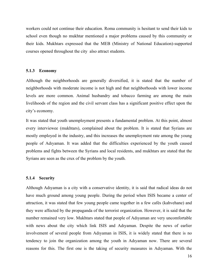workers could not continue their education. Roma community is hesitant to send their kids to school even though no mukhtar mentioned a major problems caused by this community or their kids. Mukhtars expressed that the MEB (Ministry of National Education)-supported courses opened throughout the city also attract students.

# **5.1.3 Economy**

Although the neighborhoods are generally diversified, it is stated that the number of neighborhoods with moderate income is not high and that neighborhoods with lower income levels are more common. Animal husbandry and tobacco farming are among the main livelihoods of the region and the civil servant class has a significant positive effect upon the city's economy.

It was stated that youth unemployment presents a fundamental problem. At this point, almost every interviewee (mukhtars), complained about the problem. It is stated that Syrians are mostly employed in the industry, and this increases the unemployment rate among the young people of Adıyaman. It was added that the difficulties experienced by the youth caused problems and fights between the Syrians and local residents, and mukhtars are stated that the Syrians are seen as the crux of the problem by the youth.

# **5.1.4 Security**

Although Adıyaman is a city with a conservative identity, it is said that radical ideas do not have much ground among young people. During the period when ISIS became a center of attraction, it was stated that few young people came together in a few cafés (kahvehane) and they were affected by the propaganda of the terrorist organization. However, it is said that the number remained very low. Mukhtars stated that people of Adıyaman are very uncomfortable with news about the city which link ISIS and Adıyaman. Despite the news of earlier involvement of several people from Adıyaman in ISIS, it is widely stated that there is no tendency to join the organization among the youth in Adıyaman now. There are several reasons for this. The first one is the taking of security measures in Adıyaman. With the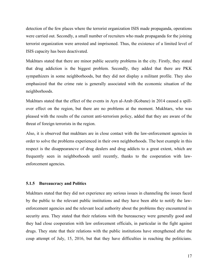detection of the few places where the terrorist organization ISIS made propaganda, operations were carried out. Secondly, a small number of recruiters who made propaganda for the joining terrorist organization were arrested and imprisoned. Thus, the existence of a limited level of ISIS capacity has been deactivated.

Mukhtars stated that there are minor public security problems in the city. Firstly, they stated that drug addiction is the biggest problem. Secondly, they added that there are PKK sympathizers in some neighborhoods, but they did not display a militant profile. They also emphasized that the crime rate is generally associated with the economic situation of the neighborhoods.

Mukhtars stated that the effect of the events in Ayn al-Arab (Kobane) in 2014 caused a spillover effect on the region, but there are no problems at the moment. Mukhtars, who was pleased with the results of the current anti-terrorism policy, added that they are aware of the threat of foreign terrorists in the region.

Also, it is observed that mukhtars are in close contact with the law-enforcement agencies in order to solve the problems experienced in their own neighborhoods. The best example in this respect is the disappearancve of drug dealers and drug addicts to a great extent, which are frequently seen in neighborhoods until recently, thanks to the cooperation with lawenforcement agencies.

# **5.1.5 Bureaucracy and Politics**

Mukhtars stated that they did not experience any serious issues in channeling the issues faced by the public to the relevant public institutions and they have been able to notify the lawenforcement agencies and the relevant local authority about the problems they encountered in security area. They stated that their relations with the bureaucracy were generally good and they had close cooperation with law enforcement officials, in particular in the fight against drugs. They state that their relations with the public institutions have strengthened after the coup attempt of July, 15, 2016, but that they have difficulties in reaching the politicians.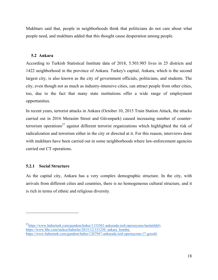Mukhtars said that, people in neighborhoods think that politicians do not care about what people need, and mukhtars added that this thought cause desperation among people.

# **5.2 Ankara**

According to Turkish Statistical Institute data of 2018, 5.503.985 lives in 25 districts and 1422 neighborhood in the province of Ankara. Turkey's capital, Ankara, which is the second largest city, is also known as the city of government officials, politicians, and students. The city, even though not as much as industry-intensive cities, can attract people from other cities, too, due to the fact that many state institutions offer a wide range of employment opportunities.

In recent years, terrorist attacks in Ankara (October 10, 2015 Train Station Attack, the attacks carried out in 2016 Merasim Street and Güvenpark) caused increasing number of counterterrorism operations<sup>27</sup> against different terrorist organizations which highlighted the risk of radicalization and terrorism either in the city or directed at it. For this reason, interviews done with mukhtars have been carried out in some neighborhoods where law-enforcement agencies carried out CT operations.

# **5.2.1 Social Structure**

 $\overline{a}$ 

As the capital city, Ankara has a very complex demographic structure. In the city, with arrivals from different cities and countries, there is no homogeneous cultural structure, and it is rich in terms of ethnic and religious diversity.

 $^{27}$ https://www.haberturk.com/gundem/haber/1153501-ankarada-isid-operasyonu-baslatildi#; https://www.bbc.com/turkce/haberler/2015/12/151230\_ankara\_bomba; https://www.haberturk.com/gundem/haber/1287947-ankarada-isid-operasyonu-17-gozalti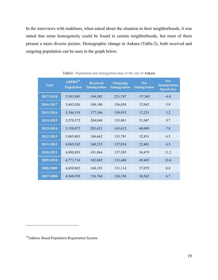In the interviews with mukhtars, when asked about the situation in their neighborhoods, it was stated that some homogeneity could be found in certain neighborhoods, but most of them present a more diverse picture. Demographic change in Ankara (Table-2), both received and outgoing population can be seen in the graph below.

| Year      | ABPRS <sup>28</sup><br><b>Population</b> | <b>Received</b><br><b>Immigration</b> | Outgoing<br><b>Immigration</b> | <b>Net</b><br>Immigration | <b>Net</b><br><b>Immigration</b><br>Speed (‰) |
|-----------|------------------------------------------|---------------------------------------|--------------------------------|---------------------------|-----------------------------------------------|
| 2017-2018 | 5,503,985                                | 184,382                               | 221,747                        | $-37,365$                 | $-6.8$                                        |
| 2016-2017 | 5,445,026                                | 188,100                               | 156,058                        | 32,042                    | 5.9                                           |
| 2015-2016 | 5,346,518                                | 177,166                               | 159,915                        | 17,251                    | 3.2                                           |
| 2014-2015 | 5,270,575                                | 204,048                               | 153,001                        | 51,047                    | 9.7                                           |
| 2013-2014 | 5,150,072                                | 203,621                               | 163,612                        | 40,009                    | 7.8                                           |
| 2012-2013 | 5,045,083                                | 186,642                               | 153,791                        | 32,851                    | 6.5                                           |
| 2011-2012 | 4,965,542                                | 160,235                               | 137,834                        | 22,401                    | 4.5                                           |
| 2010-2011 | 4,890,893                                | 191,864                               | 137,385                        | 54,479                    | 11.2                                          |
| 2009-2010 | 4,771,716                                | 182,845                               | 133,440                        | 49,405                    | 10.4                                          |
| 2008-2009 | 4,650,802                                | 168,193                               | 131,114                        | 37,079                    | 8.0                                           |
| 2007-2008 | 4,548,939                                | 156,760                               | 126,198                        | 30,562                    | 6.7                                           |

Table2– Population and immigration data of the city of Ankara

<sup>28</sup>Address Based Population Registration System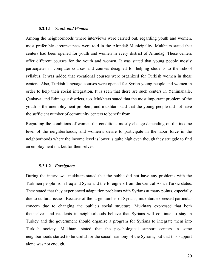#### **5.2.1.1** *Youth and Women*

Among the neighborhoods where interviews were carried out, regarding youth and women, most preferable circumstances were told in the Altındağ Municipality. Mukhtars stated that centers had been opened for youth and women in every district of Altındağ. These centers offer different courses for the youth and women. It was stated that young people mostly participates in computer courses and courses designed for helping students to the school syllabus. It was added that vocational courses were organized for Turkish women in these centers. Also, Turkish language courses were opened for Syrian young people and women in order to help their social integration. It is seen that there are such centers in Yenimahalle, Çankaya, and Etimesgut districts, too. Mukhtars stated that the most important problem of the youth is the unemployment problem, and mukhtars said that the young people did not have the sufficient number of community centers to benefit from.

Regarding the conditions of women the conditions mostly change depending on the income level of the neighborhoods, and women's desire to participate in the labor force in the neighborhoods where the income level is lower is quite high even though they struggle to find an employment market for themselves.

#### **5.2.1.2** *Foreigners*

During the interviews, mukhtars stated that the public did not have any problems with the Turkmen people from Iraq and Syria and the foreigners from the Central Asian Turkic states. They stated that they experienced adaptation problems with Syrians at many points, especially due to cultural issues. Because of the large number of Syrians, mukhtars expressed particular concern due to changing the public's social structure. Mukhtars expressed that both themselves and residents in neighborhoods believe that Syrians will continue to stay in Turkey and the government should organize a program for Syrians to integrate them into Turkish society. Mukhtars stated that the psychological support centers in some neighborhoods started to be useful for the social harmony of the Syrians, but that this support alone was not enough.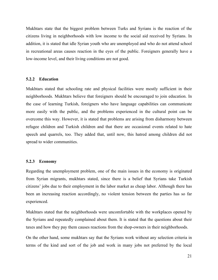Mukhtars state that the biggest problem between Turks and Syrians is the reaction of the citizens living in neighborhoods with low income to the social aid received by Syrians. In addition, it is stated that idle Syrian youth who are unemployed and who do not attend school in recreational areas causes reaction in the eyes of the public. Foreigners generally have a low-income level, and their living conditions are not good.

#### **5.2.2 Education**

Mukhtars stated that schooling rate and physical facilities were mostly sufficient in their neighborhoods. Mukhtars believe that foreigners should be encouraged to join education. In the case of learning Turkish, foreigners who have language capabilities can communicate more easily with the public, and the problems experienced in the cultural point can be overcome this way. However, it is stated that problems are arising from disharmony between refugee children and Turkish children and that there are occasional events related to hate speech and quarrels, too. They added that, until now, this hatred among children did not spread to wider communities.

#### **5.2.3 Economy**

Regarding the unemployment problem, one of the main issues in the economy is originated from Syrian migrants, mukhtars stated, since there is a belief that Syrians take Turkish citizens' jobs due to their employment in the labor market as cheap labor. Although there has been an increasing reaction accordingly, no violent tension between the parties has so far experienced.

Mukhtars stated that the neighborhoods were uncomfortable with the workplaces opened by the Syrians and repeatedly complained about them. It is stated that the questions about their taxes and how they pay them causes reactions from the shop-owners in their neighborhoods.

On the other hand, some mukhtars say that the Syrians work without any selection criteria in terms of the kind and sort of the job and work in many jobs not preferred by the local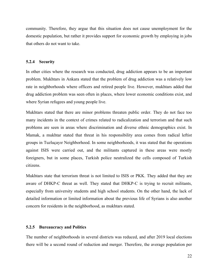community. Therefore, they argue that this situation does not cause unemployment for the domestic population, but rather it provides support for economic growth by employing in jobs that others do not want to take.

# **5.2.4 Security**

In other cities where the research was conducted, drug addiction appears to be an important problem. Mukhtars in Ankara stated that the problem of drug addiction was a relatively low rate in neighborhoods where officers and retired people live. However, mukhtars added that drug addiction problem was seen often in places, where lower economic conditions exist, and where Syrian refugees and young people live.

Mukhtars stated that there are minor problems threaten public order. They do not face too many incidents in the context of crimes related to radicalization and terrorism and that such problems are seen in areas where discrimination and diverse ethnic demographics exist. In Mamak, a mukhtar stated that threat in his responsibility area comes from radical leftist groups in Tuzluçayır Neighborhood. In some neighborhoods, it was stated that the operations against ISIS were carried out, and the militants captured in these areas were mostly foreigners, but in some places, Turkish police neutralized the cells composed of Turkish citizens.

Mukhtars state that terrorism threat is not limited to ISIS or PKK. They added that they are aware of DHKP-C threat as well. They stated that DHKP-C is trying to recruit militants, especially from university students and high school students. On the other hand, the lack of detailed information or limited information about the previous life of Syrians is also another concern for residents in the neighborhood, as mukhtars stated.

# **5.2.5 Bureaucracy and Politics**

The number of neighborhoods in several districts was reduced, and after 2019 local elections there will be a second round of reduction and merger. Therefore, the average population per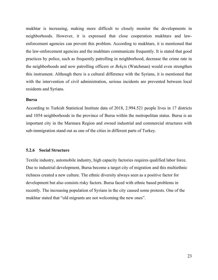mukhtar is increasing, making more difficult to closely monitor the developments in neighborhoods. However, it is expressed that close cooperation mukhtars and lawenforcement agencies can prevent this problem. According to mukhtars, it is mentioned that the law-enforcement agencies and the mukhtars communicate frequently. It is stated that good practices by police, such as frequently patrolling in neighborhood, decrease the crime rate in the neighborhoods and now patrolling officers or *Bekçi*s (Watchman) would even strengthen this instrument. Although there is a cultural difference with the Syrians, it is mentioned that with the intervention of civil administration, serious incidents are prevented between local residents and Syrians.

#### **Bursa**

According to Turkish Statistical Institute data of 2018, 2.994.521 people lives in 17 districts and 1054 neighborhoods in the province of Bursa within the metropolitan status. Bursa is an important city in the Marmara Region and owned industrial and commercial structures with sub-immigration stand out as one of the cities in different parts of Turkey.

## **5.2.6 Social Structure**

Textile industry, automobile industry, high capacity factories requires qualified labor force. Due to industrial development, Bursa become a target city of migration and this multiethnic richness created a new culture. The ethnic diversity always seen as a positive factor for development but also consists risky factors. Bursa faced with ethnic based problems in recently. The increasing population of Syrians in the city caused some protests. One of the mukhtar stated that "old migrants are not welcoming the new ones".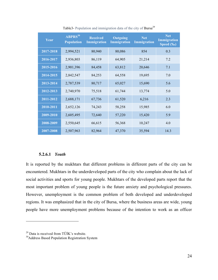| Year      | $\overline{\text{ABPRS}}$ <sup>30</sup><br><b>Population</b> | <b>Received</b><br><b>Immigration</b> | <b>Outgoing</b><br><b>Immigration</b> | <b>Net</b><br>Immigration | <b>Net</b><br><b>Immigration</b><br>Speed $(\overline{\mathscr{C}}_0)$ |
|-----------|--------------------------------------------------------------|---------------------------------------|---------------------------------------|---------------------------|------------------------------------------------------------------------|
| 2017-2018 | 2,994,521                                                    | 80,940                                | 80,086                                | 854                       | 0.3                                                                    |
| 2016-2017 | 2,936,803                                                    | 86,119                                | 64,905                                | 21,214                    | 7.2                                                                    |
| 2015-2016 | 2,901,396                                                    | 84,458                                | 63,812                                | 20,646                    | 7.1                                                                    |
| 2014-2015 | 2,842,547                                                    | 84,253                                | 64,558                                | 19,695                    | 7.0                                                                    |
| 2013-2014 | 2,787,539                                                    | 80,717                                | 65,027                                | 15,690                    | 5.6                                                                    |
| 2012-2013 | 2,740,970                                                    | 75,518                                | 61,744                                | 13,774                    | 5.0                                                                    |
| 2011-2012 | 2,688,171                                                    | 67,736                                | 61,520                                | 6,216                     | 2.3                                                                    |
| 2010-2011 | 2,652,126                                                    | 74,243                                | 58,258                                | 15,985                    | 6.0                                                                    |
| 2009-2010 | 2,605,495                                                    | 72,640                                | 57,220                                | 15,420                    | 5.9                                                                    |
| 2008-2009 | 2,550,645                                                    | 66,615                                | 56,368                                | 10,247                    | 4.0                                                                    |
| 2007-2008 | 2,507,963                                                    | 82,964                                | 47,370                                | 35,594                    | 14.3                                                                   |

Table3- Population and immigration data of the city of Bursa<sup>29</sup>

#### **5.2.6.1** *Youth*

It is reported by the mukhtars that different problems in different parts of the city can be encountered. Mukhtars in the underdeveloped parts of the city who complain about the lack of social activities and sports for young people. Mukhtars of the developed parts report that the most important problem of young people is the future anxiety and psychological pressures. However, unemployment is the common problem of both developed and underdeveloped regions. It was emphasized that in the city of Bursa, where the business areas are wide, young people have more unemployment problems because of the intention to work as an officer

<sup>&</sup>lt;sup>29</sup> Data is received from TÜİK's website.<br><sup>30</sup>Address Based Population Registration System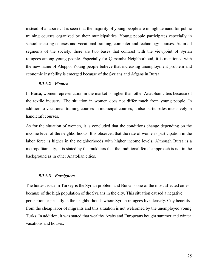instead of a laborer. It is seen that the majority of young people are in high demand for public training courses organized by their municipalities. Young people participates especially in school-assisting courses and vocational training, computer and technology courses. As in all segments of the society, there are two bases that contrast with the viewpoint of Syrian refugees among young people. Especially for Çarşamba Neighborhood, it is mentioned with the new name of Aleppo. Young people believe that increasing unemployment problem and economic instability is emerged because of the Syrians and Afgans in Bursa.

#### **5.2.6.2** *Women*

In Bursa, women representation in the market is higher than other Anatolian cities because of the textile industry. The situation in women does not differ much from young people. In addition to vocational training courses in municipal courses, it also participates intensively in handicraft courses.

As for the situation of women, it is concluded that the conditions change depending on the income level of the neighborhoods. It is observed that the rate of women's participation in the labor force is higher in the neighborhoods with higher income levels. Although Bursa is a metropolitan city, it is stated by the mukhtars that the traditional female approach is not in the background as in other Anatolian cities.

#### **5.2.6.3** *Foreigners*

The hottest issue in Turkey is the Syrian problem and Bursa is one of the most affected cities because of the high population of the Syrians in the city. This situation caused a negative perception especially in the neighborhoods where Syrian refugees live densely. City benefits from the cheap labor of migrants and this situation is not welcomed by the unemployed young Turks. In addition, it was stated that wealthy Arabs and Europeans bought summer and winter vacations and houses.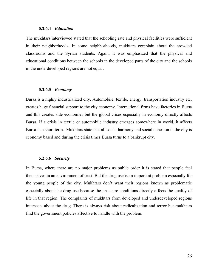#### **5.2.6.4** *Education*

The mukhtars interviewed stated that the schooling rate and physical facilities were sufficient in their neighborhoods. In some neighborhoods, mukhtars complain about the crowded classrooms and the Syrian students. Again, it was emphasized that the physical and educational conditions between the schools in the developed parts of the city and the schools in the underdeveloped regions are not equal.

#### **5.2.6.5** *Economy*

Bursa is a highly industrialized city. Automobile, textile, energy, transportation industry etc. creates huge financial support to the city economy. International firms have factories in Bursa and this creates side economies but the global crises especially in economy directly affects Bursa. If a crisis in textile or automobile industry emerges somewhere in world, it affects Bursa in a short term. Mukhtars state that all social harmony and social cohesion in the city is economy based and during the crisis times Bursa turns to a bankrupt city.

#### **5.2.6.6** *Security*

In Bursa, where there are no major problems as public order it is stated that people feel themselves in an environment of trust. But the drug use is an important problem especially for the young people of the city. Mukhtars don't want their regions known as problematic especially about the drug use because the unsecure conditions directly affects the quality of life in that region. The complaints of mukhtars from developed and underdeveloped regions intersects about the drug. There is always risk about radicalization and terror but mukhtars find the government policies affective to handle with the problem.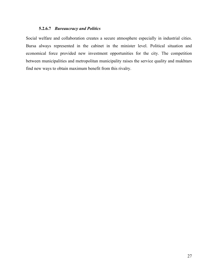# **5.2.6.7** *Bureaucracy and Politics*

Social welfare and collaboration creates a secure atmosphere especially in industrial cities. Bursa always represented in the cabinet in the minister level. Political situation and economical force provided new investment opportunities for the city. The competition between municipalities and metropolitan municipality raises the service quality and mukhtars find new ways to obtain maximum benefit from this rivalry.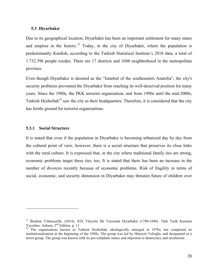#### **5.3 Diyarbakır**

Due to its geographical location, Diyarbakir has been an important settlement for many states and empires in the history.<sup>31</sup> Today, in the city of Diyarbakir, where the population is predominantly Kurdish, according to the Turkish Statistical Institute's 2018 data, a total of 1.732.396 people resides. There are 17 districts and 1048 neighborhood in the metropolitan province.

Even though Diyarbakır is deemed as the "Istanbul of the southeastern Anatolia", the city's security problems prevented the Diyarbakır from reaching its well-deserved position for many years. Since the 1980s, the PKK terrorist organization, and from 1990s until the mid-2000s, Turkish Hezbollah<sup>32</sup> saw the city as their headquarters. Therefore, it is considered that the city has fertile ground for terrorist organizations.

#### **5.3.1 Social Structure**

 $\overline{a}$ 

It is stated that even if the population in Diyarbakır is becoming urbanized day by day from the cultural point of view, however, there is a social structure that preserves its close links with the rural culture. It is expressed that, in the city where traditional family ties are strong, economic problems target these ties, too. It is stated that there has been an increase in the number of divorces recently because of economic problems. Risk of fragility in terms of social, economic, and security dimension in Diyarbakır may threaten future of children over

<sup>&</sup>lt;sup>31</sup> İbrahim Yılmazçelik, (2014), XIX Yüzyılın İlk Yarısında Diyarbakır (1790-1840), Türk Tarih Kurumu Yayınları: Ankara, 2<sup>nd</sup> Edition, p. 11

<sup>&</sup>lt;sup>32</sup> The organization, known as Turkish Hezbollah, ideologically emerged in 1970s, but completed its institutionalization at the beginning of the 1980s. The group was led by Hüseyin Velioğlu, and designated as a terror group. The group was known with its pro-caliphate stance and objection to democracy and secularism.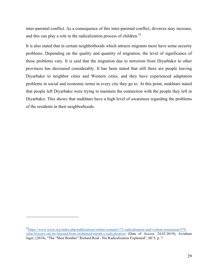inter-parental conflict. As a consequence of this inter-parental conflict, divorces may increase, and this can play a role in the radicalization process of children.<sup>33</sup>

It is also stated that in certain neighborhoods which attracts migrants more have some security problems. Depending on the quality and quantity of migration, the level of significance of these problems vary. It is said that the migration due to terrorism from Diyarbakır to other provinces has decreased considerably. It has been stated that still there are people leaving Diyarbakır to neighbor cities and Western cities, and they have experienced adaptation problems in social and economic terms in every city they go to. At this point, mukhtars stated that people left Diyarbakır were trying to maintain the connection with the people they left in Diyarbakır. This shows that mukhtars have a high level of awareness regarding the problems of the residents in their neighborhoods.

<sup>33</sup>https://www.ictyn.org/index.php/publications/online-content/172-radicalisation-and-violent-extremism/579 what-lessons-can-be-learned-from-mohamed-merah-s-radicalisation (Date of Access: 24.03.2019); Avraham Jager, (2018), "The "Shoe Bomber" Richard Reid - His Radicalization Explained", IICT, p. 7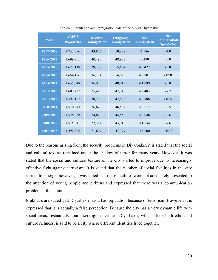| Year      | <b>ABPRS</b><br><b>Population</b> | <b>Received</b><br><b>Immigration</b> | <b>Outgoing</b><br>Immigration | <b>Net</b><br><b>Immigration</b> | Net<br><b>Immigration</b><br>Speed (‰) |
|-----------|-----------------------------------|---------------------------------------|--------------------------------|----------------------------------|----------------------------------------|
| 2017-2018 | 1.732.396                         | 43,836                                | 50,822                         | $-6,986$                         | $-4.0$                                 |
| 2016-2017 | 1,699,901                         | 40,493                                | 48,983                         | $-8,490$                         | $-5.0$                                 |
| 2015-2016 | 1,673,119                         | 39,177                                | 55,604                         | $-16,427$                        | $-9.8$                                 |
| 2014-2015 | 1,654,196                         | 36,124                                | 56,025                         | $-19,901$                        | $-12.0$                                |
| 2013-2014 | 1,635,048                         | 36,920                                | 48,019                         | $-11,099$                        | $-6.8$                                 |
| 2012-2013 | 1,607,437                         | 35,466                                | 47,949                         | $-12,483$                        | $-7.7$                                 |
| 2011-2012 | 1,592,167                         | 30,789                                | 47,575                         | $-16,786$                        | $-10.5$                                |
| 2010-2011 | 1,570,943                         | 36,622                                | 46,834                         | $-10,212$                        | $-6.5$                                 |
| 2009-2010 | 1,528,958                         | 34,810                                | 44,858                         | $-10,048$                        | $-6.6$                                 |
| 2008-2009 | 1,515,011                         | 32,384                                | 43,918                         | $-11,534$                        | $-7.6$                                 |
| 2007-2008 | 1,492,828                         | 31,677                                | 47,777                         | $-16,100$                        | $-10.7$                                |

Table4 – Population and immigration data of the city of Diyarbakır

Due to the reasons arising from the security problems in Diyarbakır, it is stated that the social and cultural texture remained under the shadow of terror for many years. However, it was stated that the social and cultural texture of the city started to improve due to increasingly effective fight against terrorism. It is stated that the number of social facilities in the city started to emerge; however, it was stated that these facilities were not adequately presented to the attention of young people and citizens and expressed that there was a communication problem at this point.

Mukhtars are stated that Diyarbakır has a bad reputation because of terrorism. However, it is expressed that it is actually a false perception. Because the city has a very dynamic life with social areas, restaurants, touristic/religious venues. Diyarbakır, which offers both ethnicand culture richness, is said to be a city where different identities lived together.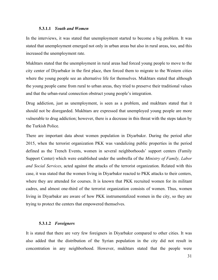#### **5.3.1.1** *Youth and Women*

In the interviews, it was stated that unemployment started to become a big problem. It was stated that unemployment emerged not only in urban areas but also in rural areas, too, and this increased the unemployment rate.

Mukhtars stated that the unemployment in rural areas had forced young people to move to the city center of Diyarbakır in the first place, then forced them to migrate to the Western cities where the young people see an alternative life for themselves. Mukhtars stated that although the young people came from rural to urban areas, they tried to preserve their traditional values and that the urban-rural connection obstruct young people's integration.

Drug addiction, just as unemployment, is seen as a problem, and mukhtars stated that it should not be disregarded. Mukhtars are expressed that unemployed young people are more vulnerable to drug addiction; however, there is a decrease in this threat with the steps taken by the Turkish Police.

There are important data about women population in Diyarbakır. During the period after 2015, when the terrorist organization PKK was vandalizing public properties in the period defined as the Trench Events, women in several neighborhoods' support centers (Family Support Center) which were established under the umbrella of the *Ministry of Family, Labor and Social Services*, acted against the attacks of the terrorist organization. Related with this case, it was stated that the women living in Diyarbakır reacted to PKK attacks to their centers, where they are attended for courses. It is known that PKK recruited women for its militant cadres, and almost one-third of the terrorist organization consists of women. Thus, women living in Diyarbakır are aware of how PKK instrumentalized women in the city, so they are trying to protect the centers that empowered themselves.

#### **5.3.1.2** *Foreigners*

It is stated that there are very few foreigners in Diyarbakır compared to other cities. It was also added that the distribution of the Syrian population in the city did not result in concentration in any neighborhood. However, mukhtars stated that the people were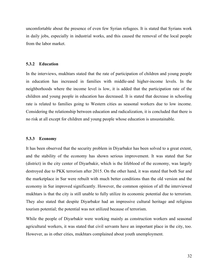uncomfortable about the presence of even few Syrian refugees. It is stated that Syrians work in daily jobs, especially in industrial works, and this caused the removal of the local people from the labor market.

# **5.3.2 Education**

In the interviews, mukhtars stated that the rate of participation of children and young people in education has increased in families with middle-and higher-income levels. In the neighborhoods where the income level is low, it is added that the participation rate of the children and young people in education has decreased. It is stated that decrease in schooling rate is related to families going to Western cities as seasonal workers due to low income. Considering the relationship between education and radicalization, it is concluded that there is no risk at all except for children and young people whose education is unsustainable.

# **5.3.3 Economy**

It has been observed that the security problem in Diyarbakır has been solved to a great extent, and the stability of the economy has shown serious improvement. It was stated that Sur (district) in the city center of Diyarbakir, which is the lifeblood of the economy, was largely destroyed due to PKK terrorism after 2015. On the other hand, it was stated that both Sur and the marketplace in Sur were rebuilt with much better conditions than the old version and the economy in Sur improved significantly. However, the common opinion of all the interviewed mukhtars is that the city is still unable to fully utilize its economic potential due to terrorism. They also stated that despite Diyarbakır had an impressive cultural heritage and religious tourism potential; the potential was not utilized because of terrorism.

While the people of Diyarbakir were working mainly as construction workers and seasonal agricultural workers, it was stated that civil servants have an important place in the city, too. However, as in other cities, mukhtars complained about youth unemployment.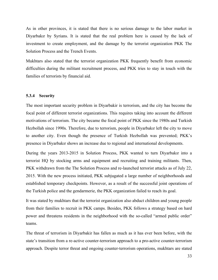As in other provinces, it is stated that there is no serious damage to the labor market in Diyarbakır by Syrians. It is stated that the real problem here is caused by the lack of investment to create employment, and the damage by the terrorist organization PKK The Solution Process and the Trench Events.

Mukhtars also stated that the terrorist organization PKK frequently benefit from economic difficulties during the militant recruitment process, and PKK tries to stay in touch with the families of terrorists by financial aid.

# **5.3.4 Security**

The most important security problem in Diyarbakir is terrorism, and the city has become the focal point of different terrorist organizations. This requires taking into account the different motivations of terrorism. The city became the focal point of PKK since the 1980s and Turkish Hezbollah since 1990s. Therefore, due to terrorism, people in Diyarbakır left the city to move to another city. Even though the presence of Turkish Hezbollah was prevented; PKK's presence in Diyarbakır shows an increase due to regional and international developments.

During the years 2013-2015 in Solution Process, PKK wanted to turn Diyarbakır into a terrorist HQ by stocking arms and equipment and recruiting and training militants. Then, PKK withdrawn from the The Solution Process and re-launched terrorist attacks as of July 22, 2015. With the new process initiated, PKK subjugated a large number of neighborhoods and established temporary checkpoints. However, as a result of the successful joint operations of the Turkish police and the gendarmerie, the PKK organization failed to reach its goal.

It was stated by mukhtars that the terrorist organization also abduct children and young people from their families to recruit in PKK camps. Besides, PKK follows a strategy based on hard power and threatens residents in the neighborhood with the so-called "armed public order" teams.

The threat of terrorism in Diyarbakir has fallen as much as it has ever been before, with the state's transition from a re-active counter-terrorism approach to a pro-active counter-terrorism approach. Despite terror threat and ongoing counter-terrorism operations, mukhtars are stated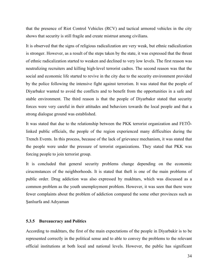that the presence of Riot Control Vehicles (RCV) and tactical armored vehicles in the city shows that security is still fragile and create mistrust among civilians.

It is observed that the signs of religious radicalization are very weak, but ethnic radicalization is stronger. However, as a result of the steps taken by the state, it was expressed that the threat of ethnic radicalization started to weaken and declined to very low levels. The first reason was neutralizing recruiters and killing high-level terrorist cadres. The second reason was that the social and economic life started to revive in the city due to the security environment provided by the police following the intensive fight against terrorism. It was stated that the people of Diyarbakır wanted to avoid the conflicts and to benefit from the opportunities in a safe and stable environment. The third reason is that the people of Diyarbakır stated that security forces were very careful in their attitudes and behaviors towards the local people and that a strong dialogue ground was established.

It was stated that due to the relationship between the PKK terrorist organization and FETÖlinked public officials, the people of the region experienced many difficulties during the Trench Events. In this process, because of the lack of grievance mechanism, it was stated that the people were under the pressure of terrorist organizations. They stated that PKK was forcing people to join terrorist group.

It is concluded that general security problems change depending on the economic cirucmstances of the neighborhoods. It is stated that theft is one of the main problems of public order. Drug addiction was also expressed by mukhtars, which was discussed as a common problem as the youth unemployment problem. However, it was seen that there were fewer complaints about the problem of addiction compared the some other provinces such as Şanlıurfa and Adıyaman

# **5.3.5 Bureaucracy and Politics**

According to mukhtars, the first of the main expectations of the people in Diyarbakir is to be represented correctly in the political sense and to able to convey the problems to the relevant official institutions at both local and national levels. However, the public has significant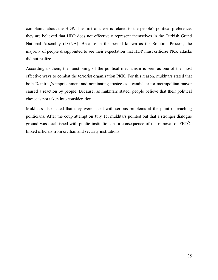complaints about the HDP. The first of these is related to the people's political preference; they are believed that HDP does not effectively represent themselves in the Turkish Grand National Assembly (TGNA). Because in the period known as the Solution Process, the majority of people disappointed to see their expectation that HDP must criticize PKK attacks did not realize.

According to them, the functioning of the political mechanism is seen as one of the most effective ways to combat the terrorist organization PKK. For this reason, mukhtars stated that both Demirtaş's imprisonment and nominating trustee as a candidate for metropolitan mayor caused a reaction by people. Because, as mukhtars stated, people believe that their political choice is not taken into consideration.

Mukhtars also stated that they were faced with serious problems at the point of reaching politicians. After the coup attempt on July 15, mukhtars pointed out that a stronger dialogue ground was established with public institutions as a consequence of the removal of FETÖlinked officials from civilian and security institutions.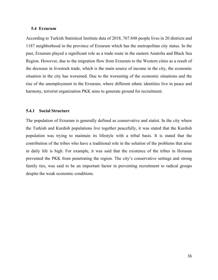## **5.4 Erzurum**

According to Turkish Statistical Institute data of 2018, 767.848 people lives in 20 districts and 1187 neighborhood in the province of Erzurum which has the metropolitan city status. In the past, Erzurum played a significant role as a trade route in the eastern Anatolia and Black Sea Region. However, due to the migration flow from Erzurum to the Western cities as a result of the decrease in livestock trade, which is the main source of income in the city, the economic situation in the city has worsened. Due to the worsening of the economic situations and the rise of the unemployment in the Erzurum, where different ethnic identities live in peace and harmony, terrorist organization PKK aims to generate ground for recruitment.

# **5.4.1 Social Structure**

The population of Erzurum is generally defined as conservative and statist. In the city where the Turkish and Kurdish populations live together peacefully, it was stated that the Kurdish population was trying to maintain its lifestyle with a tribal basis. It is stated that the contribution of the tribes who have a traditional role in the solution of the problems that arise in daily life is high. For example, it was said that the existence of the tribes in Horasan prevented the PKK from penetrating the region. The city's conservative settings and strong family ties, was said to be an important factor in preventing recruitment to radical groups despite the weak economic conditions.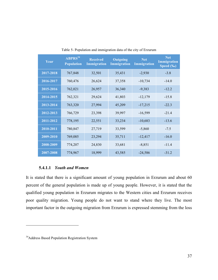| Year      | $ABPRS^{34}$<br><b>Population</b> | <b>Received</b><br><b>Immigration</b> | <b>Outgoing</b><br>Immigration | <b>Net</b><br>Immigration | <b>Net</b><br><b>Immigration</b><br>Speed (%o) |
|-----------|-----------------------------------|---------------------------------------|--------------------------------|---------------------------|------------------------------------------------|
| 2017-2018 | 767,848                           | 32,501                                | 35,431                         | $-2,930$                  | $-3.8$                                         |
| 2016-2017 | 760,476                           | 26,624                                | 37,358                         | $-10,734$                 | $-14.0$                                        |
| 2015-2016 | 762,021                           | 26,957                                | 36,340                         | $-9,383$                  | $-12.2$                                        |
| 2014-2015 | 762,321                           | 29,624                                | 41,803                         | $-12,179$                 | $-15.8$                                        |
| 2013-2014 | 763,320                           | 27,994                                | 45,209                         | $-17,215$                 | $-22.3$                                        |
| 2012-2013 | 766,729                           | 23,398                                | 39,997                         | $-16,599$                 | $-21.4$                                        |
| 2011-2012 | 778,195                           | 22,551                                | 33,234                         | $-10,683$                 | $-13.6$                                        |
| 2010-2011 | 780,847                           | 27,719                                | 33,599                         | $-5,860$                  | $-7.5$                                         |
| 2009-2010 | 769,085                           | 23,294                                | 35,711                         | $-12,417$                 | $-16.0$                                        |
| 2008-2009 | 774,207                           | 24,830                                | 33,681                         | $-8,851$                  | $-11.4$                                        |
| 2007-2008 | 774,967                           | 18,999                                | 43,585                         | $-24,586$                 | $-31.2$                                        |

Table 5- Population and immigration data of the city of Erzurum

# **5.4.1.1** *Youth and Women*

It is stated that there is a significant amount of young population in Erzurum and about 60 percent of the general population is made up of young people. However, it is stated that the qualified young population in Erzurum migrates to the Western cities and Erzurum receives poor quality migration. Young people do not want to stand where they live. The most important factor in the outgoing migration from Erzurum is expressed stemming from the loss

 $\overline{a}$ 

<sup>&</sup>lt;sup>34</sup>Address Based Population Registration System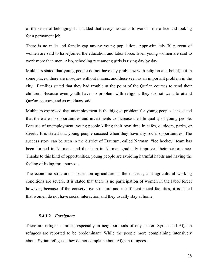of the sense of belonging. It is added that everyone wants to work in the office and looking for a permanent job.

There is no male and female gap among young population. Approximately 30 percent of women are said to have joined the education and labor force. Even young women are said to work more than men. Also, schooling rate among girls is rising day by day.

Mukhtars stated that young people do not have any problemz with religion and belief, but in some places, there are mosques without imams, and these seen as an important problem in the city. Families stated that they had trouble at the point of the Qur'an courses to send their children. Because even youth have no problem with religion, they do not want to attend Qur'an courses, and as mukhtars said.

Mukhtars expressed that unemployment is the biggest problem for young people. It is stated that there are no opportunities and investments to increase the life quality of young people. Because of unemployment, young people killing their own time in cafes, outdoors, parks, or streets. It is stated that young people succeed when they have any social opportunities. The success story can be seen in the district of Erzurum, called Narman. "Ice hockey" team has been formed in Narman, and the team in Narman gradually improves their performance. Thanks to this kind of opportunities, young people are avoiding harmful habits and having the feeling of living for a purpose.

The economic structure is based on agriculture in the districts, and agricultural working conditions are severe. It is stated that there is no participation of women in the labor force; however, because of the conservative structure and insufficient social facilities, it is stated that women do not have social interaction and they usually stay at home.

#### **5.4.1.2** *Foreigners*

There are refugee families, especially in neighborhoods of city center. Syrian and Afghan refugees are reported to be predominant. While the people more complaining intensively about Syrian refugees, they do not complain about Afghan refugees.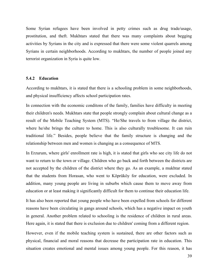Some Syrian refugees have been involved in petty crimes such as drug trade/usage, prostitution, and theft. Mukhtars stated that there was many complaints about begging activities by Syrians in the city and is expressed that there were some violent quarrels among Syrians in certain neighborhoods. According to mukhtars, the number of people joined any terrorist organization in Syria is quite low.

# **5.4.2 Education**

According to mukhtars, it is stated that there is a schooling problem in some neighborhoods, and physical insufficiency affects school participation rates.

In connection with the economic conditons of the family, families have difficulty in meeting their children's needs. Mukhtars state that people strongly complain about cultural change as a result of the Mobile Teaching System (MTS). "He/She travels to from village the district, where he/she brings the culture to home. This is also culturally troublesome. It can ruin traditional life." Besides, people believe that the family structure is changing and the relationship between men and women is changing as a consequence of MTS.

In Erzurum, where girls' enrollment rate is high, it is stated that girls who see city life do not want to return to the town or village. Children who go back and forth between the districts are not accepted by the children of the district where they go. As an example, a mukhtar stated that the students from Horasan, who went to Köprüköy for education, were excluded. In addition, many young people are living in suburbs which cause them to move away from education or at least making it significantly difficult for them to continue their education life.

It has also been reported that young people who have been expelled from schools for different reasons have been circulating in gangs around schools, which has a negative impact on youth in general. Another problem related to schooling is the residence of children in rural areas. Here again, it is stated that there is exclusion due to children' coming from a different region.

However, even if the mobile teaching system is sustained, there are other factors such as physical, financial and moral reasons that decrease the participation rate in education. This situation creates emotional and mental issues among young people. For this reason, it has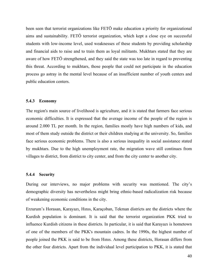been seen that terrorist organizations like FETÖ make education a priority for organizational aims and sustainability. FETÖ terrorist organization, which kept a close eye on successful students with low-income level, used weaknesses of these students by providing scholarship and financial aids to raise and to train them as loyal militants. Mukhtars stated that they are aware of how FETÖ strengthened, and they said the state was too late in regard to preventing this threat. According to mukhtars, those people that could not participate in the education process go astray in the mental level because of an insufficient number of youth centers and public education centers.

# **5.4.3 Economy**

The region's main source of livelihood is agriculture, and it is stated that farmers face serious economic difficulties. It is expressed that the average income of the people of the region is around 2.000 TL per month. In the region, families mostly have high numbers of kids, and most of them study outside the district or their children studying at the university. So, families face serious economic problems. There is also a serious inequality in social assistance stated by mukhtars. Due to the high unemployment rate, the migration wave still continues from villages to district, from district to city center, and from the city center to another city.

### **5.4.4 Security**

During our interviews, no major problems with security was mentioned. The city's demographic diversity has nevertheless might bring ethnic-based radicalization risk because of weakening economic conditions in the city.

Erzurum's Horasan, Karayazı, Hınıs, Karaçoban, Tekman districts are the districts where the Kurdish population is dominant. It is said that the terrorist organization PKK tried to influence Kurdish citizens in these districts. In particular, it is said that Karayazı is hometown of one of the members of the PKK's mountain cadres. In the 1990s, the highest number of people joined the PKK is said to be from Hınıs. Among these districts, Horasan differs from the other four districts. Apart from the individual level participation to PKK, it is stated that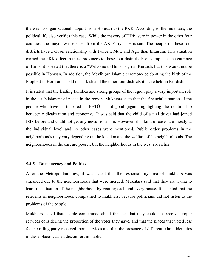there is no organizational support from Horasan to the PKK. According to the mukhtars, the political life also verifies this case. While the mayors of HDP were in power in the other four counties, the mayor was elected from the AK Party in Horasan. The people of these four districts have a closer relationship with Tunceli, Muş, and Ağrı than Erzurum. This situation carried the PKK effect in these provinces to these four districts. For example, at the entrance of Hınıs, it is stated that there is a "Welcome to Hınıs" sign in Kurdish, but this would not be possible in Horasan. In addition, the Mevlit (an Islamic ceremony celebrating the birth of the Prophet) in Horasan is held in Turkish and the other four districts it is are held in Kurdish.

It is stated that the leading families and strong groups of the region play a very important role in the establishment of peace in the region. Mukhtars state that the financial situation of the people who have participated in FETÖ is not good (again highlighting the relationship between radicalization and economy). It was said that the child of a taxi driver had joined ISIS before and could not get any news from him. However, this kind of cases are mostly at the individual level and no other cases were mentioned. Public order problems in the neighborhoods may vary depending on the location and the welfare of the neighborhoods. The neighborhoods in the east are poorer, but the neighborhoods in the west are richer.

#### **5.4.5 Bureaucracy and Politics**

After the Metropolitan Law, it was stated that the responsibility area of mukhtars was expanded due to the neighborhoods that were merged. Mukhtars said that they are trying to learn the situation of the neighborhood by visiting each and every house. It is stated that the residents in neighborhoods complained to mukhtars, because politicians did not listen to the problems of the people.

Mukhtars stated that people complained about the fact that they could not receive proper services considering the proportion of the votes they gave, and that the places that voted less for the ruling party received more services and that the presence of different ethnic identities in these places caused discomfort in public.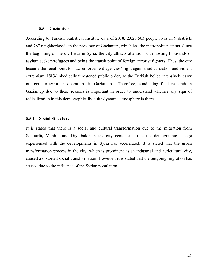## **5.5 Gaziantep**

According to Turkish Statistical Institute data of 2018, 2.028.563 people lives in 9 districts and 787 neighborhoods in the province of Gaziantep, which has the metropolitan status. Since the beginning of the civil war in Syria, the city attracts attention with hosting thousands of asylum seekers/refugees and being the transit point of foreign terrorist fighters. Thus, the city became the focal point for law-enforcement agencies' fight against radicalization and violent extremism. ISIS-linked cells threatened public order, so the Turkish Police intensively carry out counter-terrorism operations in Gaziantep. Therefore, conducting field research in Gaziantep due to these reasons is important in order to understand whether any sign of radicalization in this demographically quite dynamic atmosphere is there.

# **5.5.1 Social Structure**

It is stated that there is a social and cultural transformation due to the migration from Şanlıurfa, Mardin, and Diyarbakir in the city center and that the demographic change experienced with the developments in Syria has accelerated. It is stated that the urban transformation process in the city, which is prominent as an industrial and agricultural city, caused a distorted social transformation. However, it is stated that the outgoing migration has started due to the influence of the Syrian population.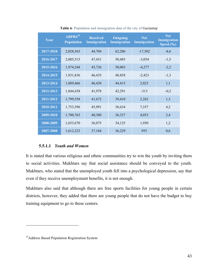| Year                   | $ABPRS^{35}$<br><b>Population</b> | <b>Received</b><br><b>Immigration</b> | Outgoing<br><b>Immigration</b> | <b>Net</b><br><b>Immigration</b> | <b>Net</b><br><b>Immigration</b><br>Speed $(\overline{\mathscr{C}_{o}})$ |
|------------------------|-----------------------------------|---------------------------------------|--------------------------------|----------------------------------|--------------------------------------------------------------------------|
| 2017-2018              | 2,028,563                         | 44,704                                | 62,206                         | $-17,502$                        | $-8,6$                                                                   |
| $2016 - 2017$          | 2,005,515                         | 47,431                                | 50,485                         | $-3,054$                         | $-1,5$                                                                   |
| 2015-2016              | 1,974,244                         | 45,726                                | 50,003                         | $-4,277$                         | $-2,2$                                                                   |
| 2014-2015              | 1,931,836                         | 46,435                                | 48,858                         | $-2,423$                         | $-1,3$                                                                   |
| 2013-2014              | 1,889,466                         | 46,438                                | 44,415                         | 2,023                            | 1,1                                                                      |
| 2012-2013              | 1,844,438                         | 41,978                                | 42,291                         | $-313$                           | $-0,2$                                                                   |
| $\overline{2011-2012}$ | 1,799,558                         | 41,672                                | 39,410                         | 2,262                            | 1,3                                                                      |
| 2010-2011              | 1,753,596                         | 45,991                                | 38,634                         | 7,357                            | 4,2                                                                      |
| 2009-2010              | 1,700,763                         | 40,380                                | 36,327                         | 4,053                            | 2,4                                                                      |
| 2008-2009              | 1,653,670                         | 36,075                                | 34,125                         | 1,950                            | 1,2                                                                      |
| 2007-2008              | 1,612,223                         | 37,184                                | 36,229                         | 955                              | 0,6                                                                      |

**Table 6**- Population and immigration data of the city of Gaziantep

# **5.5.1.1** *Youth and Women*

It is stated that various religious and ethnic communities try to win the youth by inviting them to social activities. Mukhtars say that social assistance should be conveyed to the youth. Mukhtars, who stated that the unemployed youth fell into a psychological depression, say that even if they receive unemployment benefits, it is not enough.

Mukhtars also said that although there are free sports facilities for young people in certain districts, however, they added that there are young people that do not have the budget to buy training equipment to go to these centers.

 $\overline{a}$ 

<sup>&</sup>lt;sup>35</sup>Address Based Population Registration System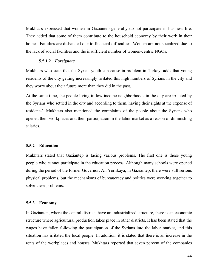Mukhtars expressed that women in Gaziantep generally do not participate in business life. They added that some of them contribute to the household economy by their work in their homes. Families are disbanded due to financial difficulties. Women are not socialized due to the lack of social facilities and the insufficient number of women-centric NGOs.

# **5.5.1.2** *Foreigners*

Mukhtars who state that the Syrian youth can cause in problem in Turkey, adds that young residents of the city getting increasingly irritated this high numbers of Syrians in the city and they worry about their future more than they did in the past.

At the same time, the people living in low-income neighborhoods in the city are irritated by the Syrians who settled in the city and according to them, having their rights at the expense of residents'. Mukhtars also mentioned the complaints of the people about the Syrians who opened their workplaces and their participation in the labor market as a reason of diminishing salaries.

## **5.5.2 Education**

Mukhtars stated that Gaziantep is facing various problems. The first one is those young people who cannot participate in the education process. Although many schools were opened during the period of the former Governor, Ali Yerlikaya, in Gaziantep, there were still serious physical problems, but the mechanisms of bureaucracy and politics were working together to solve these problems.

#### **5.5.3 Economy**

In Gaziantep, where the central districts have an industrialized structure, there is an economic structure where agricultural production takes place in other districts. It has been stated that the wages have fallen following the participation of the Syrians into the labor market, and this situation has irritated the local people. In addition, it is stated that there is an increase in the rents of the workplaces and houses. Mukhtars reported that seven percent of the companies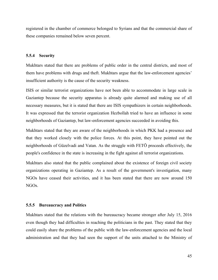registered in the chamber of commerce belonged to Syrians and that the commercial share of these companies remained below seven percent.

# **5.5.4 Security**

Mukhtars stated that there are problems of public order in the central districts, and most of them have problems with drugs and theft. Mukhtars argue that the law-enforcement agencies' insufficient authority is the cause of the security weakness.

ISIS or similar terrorist organizations have not been able to accommodate in large scale in Gaziantep because the security apparatus is already quite alarmed and making use of all necessary measures, but it is stated that there are ISIS sympathizers in certain neighborhoods. It was expressed that the terrorist organization Hezbollah tried to have an influence in some neighborhoods of Gaziantep, but law-enforcement agencies succeeded in avoiding this.

Mukhtars stated that they are aware of the neighborhoods in which PKK had a presence and that they worked closely with the police forces. At this point, they have pointed out the neighborhoods of Güzelvadi and Vatan. As the struggle with FETÖ proceeds effectively, the people's confidence in the state is increasing in the fight against all terrorist organizations.

Mukhtars also stated that the public complained about the existence of foreign civil society organizations operating in Gaziantep. As a result of the government's investigation, many NGOs have ceased their activities, and it has been stated that there are now around 150 NGOs.

## **5.5.5 Bureaucracy and Politics**

Mukhtars stated that the relations with the bureaucracy became stronger after July 15, 2016 even though they had difficulties in reaching the politicians in the past. They stated that they could easily share the problems of the public with the law-enforcement agencies and the local administration and that they had seen the support of the units attached to the Ministry of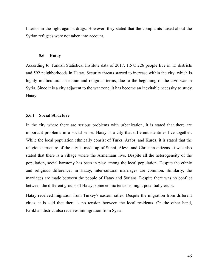Interior in the fight against drugs. However, they stated that the complaints raised about the Syrian refugees were not taken into account.

## **5.6 Hatay**

According to Turkish Statistical Institute data of 2017, 1.575.226 people live in 15 districts and 592 neighborhoods in Hatay. Security threats started to increase within the city, which is highly multicultural in ethnic and religious terms, due to the beginning of the civil war in Syria. Since it is a city adjacent to the war zone, it has become an inevitable necessity to study Hatay.

# **5.6.1 Social Structure**

In the city where there are serious problems with urbanization, it is stated that there are important problems in a social sense. Hatay is a city that different identities live together. While the local population ethnically consist of Turks, Arabs, and Kurds, it is stated that the religious structure of the city is made up of Sunni, Alevi, and Christian citizens. It was also stated that there is a village where the Armenians live. Despite all the heterogeneity of the population, social harmony has been in play among the local population. Despite the ethnic and religious differences in Hatay, inter-cultural marriages are common. Similarly, the marriages are made between the people of Hatay and Syrians. Despite there was no conflict between the different groups of Hatay, some ethnic tensions might potentially erupt.

Hatay received migration from Turkey's eastern cities. Despite the migration from different cities, it is said that there is no tension between the local residents. On the other hand, Kırıkhan district also receives immigration from Syria.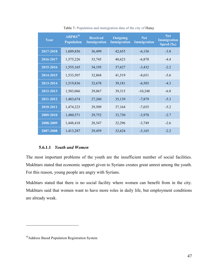| Year      | $ABPRS^{36}$<br><b>Population</b> | <b>Received</b><br><b>Immigration</b> | <b>Outgoing</b><br><b>Immigration</b> | <b>Net</b><br>Immigration | <b>Net</b><br><b>Immigration</b><br>Speed $(\overline{\mathscr{C}_{o}})$ |
|-----------|-----------------------------------|---------------------------------------|---------------------------------------|---------------------------|--------------------------------------------------------------------------|
| 2017-2018 | 1,609,856                         | 36,499                                | 42,655                                | $-6,156$                  | $-3.8$                                                                   |
| 2016-2017 | 1,575,226                         | 33,745                                | 40,623                                | $-6,878$                  | $-4.4$                                                                   |
| 2015-2016 | 1,555,165                         | 34,195                                | 37,627                                | $-3,432$                  | $-2.2$                                                                   |
| 2014-2015 | 1,533,507                         | 32,868                                | 41,519                                | $-8,651$                  | $-5.6$                                                                   |
| 2013-2014 | 1,519,836                         | 32,678                                | 39,181                                | $-6,503$                  | $-4.3$                                                                   |
| 2012-2013 | 1,503,066                         | 29,067                                | 39,315                                | $-10,248$                 | $-6.8$                                                                   |
| 2011-2012 | 1,483,674                         | 27,260                                | 35,139                                | $-7,879$                  | $-5.3$                                                                   |
| 2010-2011 | 1,474,223                         | 29,509                                | 37,164                                | $-7,655$                  | $-5.2$                                                                   |
| 2009-2010 | 1,480,571                         | 29,752                                | 33,730                                | $-3,978$                  | $-2.7$                                                                   |
| 2008-2009 | 1,448,418                         | 28,547                                | 32,296                                | $-3,749$                  | $-2.6$                                                                   |
| 2007-2008 | 1,413,287                         | 29,459                                | 32,624                                | $-3,165$                  | $-2.2$                                                                   |

Table 7- Population and immigration data of the city of Hatay

# **5.6.1.1** *Youth and Women*

The most important problems of the youth are the insufficient number of social facilities. Mukhtars stated that economic support given to Syrians creates great unrest among the youth. For this reason, young people are angry with Syrians.

Mukhtars stated that there is no social facility where women can benefit from in the city. Mukhtars said that women want to have more roles in daily life, but employment conditions are already weak.

 $\overline{a}$ 

<sup>&</sup>lt;sup>36</sup>Address Based Population Registration System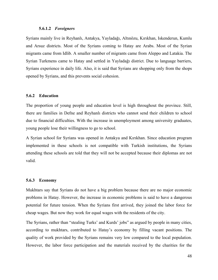### **5.6.1.2** *Foreigners*

Syrians mainly live in Reyhanlı, Antakya, Yayladağı, Altınözu, Kırıkhan, Iskenderun, Kumlu and Arsuz districts. Most of the Syrians coming to Hatay are Arabs. Most of the Syrian migrants came from Idlib. A smaller number of migrants came from Aleppo and Latakia. The Syrian Turkmens came to Hatay and settled in Yayladağı district. Due to language barriers, Syrians experience in daily life. Also, it is said that Syrians are shopping only from the shops opened by Syrians, and this prevents social cohesion.

#### **5.6.2 Education**

The proportion of young people and education level is high throughout the province. Still, there are families in Defne and Reyhanlı districts who cannot send their children to school due to financial difficulties. With the increase in unemployment among university graduates, young people lose their willingness to go to school.

A Syrian school for Syrians was opened in Antakya and Kırıkhan. Since education program implemented in these schools is not compatible with Turkish institutions, the Syrians attending these schools are told that they will not be accepted because their diplomas are not valid.

#### **5.6.3 Economy**

Mukhtars say that Syrians do not have a big problem because there are no major economic problems in Hatay. However, the increase in economic problems is said to have a dangerous potential for future tension. When the Syrians first arrived, they joined the labor force for cheap wages. But now they work for equal wages with the residents of the city.

The Syrians, rather than "stealing Turks' and Kurds' jobs" as argued by people in many cities, according to mukhtars, contributed to Hatay's economy by filling vacant positions. The quality of work provided by the Syrians remains very low compared to the local population. However, the labor force participation and the materials received by the charities for the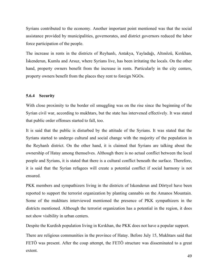Syrians contributed to the economy. Another important point mentioned was that the social assistance provided by municipalities, governorates, and district governors reduced the labor force participation of the people.

The increase in rents in the districts of Reyhanlı, Antakya, Yayladağı, Altınözü, Kırıkhan, İskenderun, Kumlu and Arsuz, where Syrians live, has been irritating the locals. On the other hand, property owners benefit from the increase in rents. Particularly in the city centers, property owners benefit from the places they rent to foreign NGOs.

# **5.6.4 Security**

With close proximity to the border oil smuggling was on the rise since the beginning of the Syrian civil war, according to mukhtars, but the state has intervened effectively. It was stated that public order offenses started to fall, too.

It is said that the public is disturbed by the attitude of the Syrians. It was stated that the Syrians started to undergo cultural and social change with the majority of the population in the Reyhanlı district. On the other hand, it is claimed that Syrians are talking about the ownership of Hatay among themselves. Although there is no actual conflict between the local people and Syrians, it is stated that there is a cultural conflict beneath the surface. Therefore, it is said that the Syrian refugees will create a potential conflict if social harmony is not ensured.

PKK members and sympathizers living in the districts of Iskenderun and Dörtyol have been reported to support the terrorist organization by planting cannabis on the Amanos Mountain. Some of the mukhtars interviewed mentioned the presence of PKK sympathizers in the districts mentioned. Although the terrorist organization has a potential in the region, it does not show visibility in urban centers.

Despite the Kurdish population living in Kırıkhan, the PKK does not have a popular support.

There are religious communities in the province of Hatay. Before July 15, Mukhtars said that FETÖ was present. After the coup attempt, the FETÖ structure was disseminated to a great extent.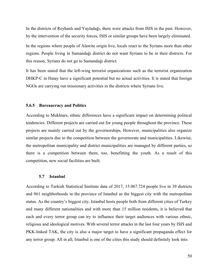In the districts of Reyhanlı and Yayladağı, there were attacks from ISIS in the past. However, by the intervention of the security forces, ISIS or similar groups have been largely eliminated.

In the regions where people of Alawite origin live, locals react to the Syrians more than other regions. People living in Samandağı district do not want Syrians to be in their districts. For this reason, Syrians do not go to Samandağı district.

It has been stated that the left-wing terrorist organizations such as the terrorist organization DHKP-C in Hatay have a significant potential but no actual activities. It is stated that foreign NGOs are carrying out missionary activities in the districts where Syrians live.

#### **5.6.5 Bureaucracy and Politics**

According to Mukhtars, ethnic differences have a significant impact on determining political tendencies. Different projects are carried out for young people throughout the province. These projects are mainly carried out by the governorships. However, municipalities also organize similar projects due to the competition between the governorate and municipalities. Likewise, the metropolitan municipality and district municipalities are managed by different parties, so there is a competition between them, too, benefitting the youth. As a result of this competition, new social facilities are built.

#### **5.7 Istanbul**

According to Turkish Statistical Institute data of 2017, 15.067.724 people live in 39 districts and 961 neighborhoods in the province of Istanbul as the biggest city with the metropolitan status. As the country's biggest city, Istanbul hosts people both from different cities of Turkey and many different nationalities and with more than 15 million residents, it is believed that each and every terror group can try to influence their target audiences with various ethnic, religious and ideological motives. With several terror attacks in the last four years by ISIS and PKK-linked TAK, the city is also a major target to have a significant propaganda effect for any terror group. All in all, Istanbul is one of the cities this study should definitely look into.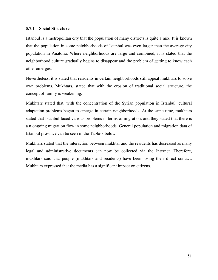# **5.7.1 Social Structure**

Istanbul is a metropolitan city that the population of many districts is quite a mix. It is known that the population in some neighborhoods of Istanbul was even larger than the average city population in Anatolia. Where neighborhoods are large and combined, it is stated that the neighborhood culture gradually begins to disappear and the problem of getting to know each other emerges.

Nevertheless, it is stated that residents in certain neighborhoods still appeal mukhtars to solve own problems. Mukhtars, stated that with the erosion of traditional social structure, the concept of family is weakening.

Mukhtars stated that, with the concentration of the Syrian population in Istanbul, cultural adaptation problems began to emerge in certain neighborhoods. At the same time, mukhtars stated that Istanbul faced various problems in terms of migration, and they stated that there is a n ongoing migration flow in some neighborhoods. General population and migration data of Istanbul province can be seen in the Table-8 below.

Mukhtars stated that the interaction between mukhtar and the residents has decreased as many legal and administrative documents can now be collected via the Internet. Therefore, mukhtars said that people (mukhtars and residents) have been losing their direct contact. Mukhtars expressed that the media has a significant impact on citizens.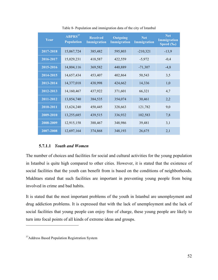| Year          | $ABPRS^{37}$<br><b>Population</b> | <b>Received</b><br><b>Immigration</b> | <b>Outgoing</b><br><b>Immigration</b> | <b>Net</b><br><b>Immigration</b> | <b>Net</b><br><b>Immigration</b><br>Speed $(\overline{\mathscr{C}_{o}})$ |
|---------------|-----------------------------------|---------------------------------------|---------------------------------------|----------------------------------|--------------------------------------------------------------------------|
| 2017-2018     | 15,067,724                        | 385,482                               | 595,803                               | $-210,321$                       | $-13,9$                                                                  |
| 2016-2017     | 15,029,231                        | 418,587                               | 422,559                               | $-5,972$                         | $-0,4$                                                                   |
| 2015-2016     | 14,804,116                        | 369,582                               | 440,889                               | $-71,307$                        | $-4,8$                                                                   |
| 2014-2015     | 14,657,434                        | 453,407                               | 402,864                               | 50,543                           | 3,5                                                                      |
| 2013-2014     | 14,377,018                        | 438,998                               | 424,662                               | 14,336                           | 1,0                                                                      |
| 2012-2013     | 14,160,467                        | 437,922                               | 371,601                               | 66,321                           | 4,7                                                                      |
| $2011 - 2012$ | 13,854,740                        | 384,535                               | 354,074                               | 30,461                           | 2,2                                                                      |
| 2010-2011     | 13,624,240                        | 450,445                               | 328,663                               | 121,782                          | 9,0                                                                      |
| 2009-2010     | 13,255,685                        | 439,515                               | 336,932                               | 102,583                          | 7,8                                                                      |
| 2008-2009     | 12,915,158                        | 388,467                               | 348,986                               | 39,481                           | 3,1                                                                      |
| 2007-2008     | 12,697,164                        | 374,868                               | 348,193                               | 26,675                           | 2,1                                                                      |

Table 8- Population and immigration data of the city of Istanbul

#### **5.7.1.1** *Youth and Women*

The number of choices and facilities for social and cultural activities for the young population in Istanbul is quite high compared to other cities. However, it is stated that the existence of social facilities that the youth can benefit from is based on the conditions of neighborhoods. Mukhtars stated that such facilities are important in preventing young people from being involved in crime and bad habits.

It is stated that the most important problems of the youth in Istanbul are unemployment and drug addiction problems. It is expressed that with the lack of unemployment and the lack of social facilities that young people can enjoy free of charge, these young people are likely to turn into focal points of all kinds of extreme ideas and groups.

 $\overline{a}$ 

<sup>&</sup>lt;sup>37</sup>Address Based Population Registration System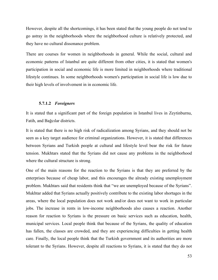However, despite all the shortcomings, it has been stated that the young people do not tend to go astray in the neighborhoods where the neighborhood culture is relatively protected, and they have no cultural dissonance problem.

There are courses for women in neighborhoods in general. While the social, cultural and economic patterns of Istanbul are quite different from other cities, it is stated that women's participation in social and economic life is more limited in neighborhoods where traditional lifestyle continues. In some neighborhoods women's participation in social life is low due to their high levels of involvement in in economic life.

## **5.7.1.2** *Foreigners*

It is stated that a significant part of the foreign population in Istanbul lives in Zeytinburnu, Fatih, and Bağcılar districts.

It is stated that there is no high risk of radicalization among Syrians, and they should not be seen as a key target audience for criminal organizations. However, it is stated that differences between Syrians and Turkish people at cultural and lifestyle level bear the risk for future tension. Mukhtars stated that the Syrians did not cause any problems in the neighborhood where the cultural structure is strong.

One of the main reasons for the reaction to the Syrians is that they are preferred by the enterprises because of cheap labor, and this encourages the already existing unemployment problem. Mukhtars said that residents think that "we are unemployed because of the Syrians". Mukhtar added that Syrians actually positively contribute to the existing labor shortages in the areas, where the local population does not work and/or does not want to work in particular jobs. The increase in rents in low-income neighborhoods also causes a reaction. Another reason for reaction to Syrians is the pressure on basic services such as education, health, municipal services. Local people think that because of the Syrians, the quality of education has fallen, the classes are crowded, and they are experiencing difficulties in getting health care. Finally, the local people think that the Turkish government and its authorities are more tolerant to the Syrians. However, despite all reactions to Syrians, it is stated that they do not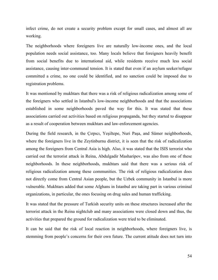infect crime, do not create a security problem except for small cases, and almost all are working.

The neighborhoods where foreigners live are naturally low-income ones, and the local population needs social assistance, too. Many locals believe that foreigners heavily benefit from social benefits due to international aid, while residents receive much less social assistance, causing inter-communal tension. It is stated that even if an asylum seeker/refugee committed a crime, no one could be identified, and no sanction could be imposed due to registration problems.

It was mentioned by mukhtars that there was a risk of religious radicalization among some of the foreigners who settled in Istanbul's low-income neighborhoods and that the associations established in some neighborhoods paved the way for this. It was stated that these associations carried out activities based on religious propaganda, but they started to disappear as a result of cooperation between mukhtars and law-enforcement agencies.

During the field research, in the Çırpıcı, Yeşiltepe, Nuri Paşa, and Sümer neighborhoods, where the foreigners live in the Zeytinburnu district, it is seen that the risk of radicalization among the foreigners from Central Asia is high. Also, it was stated that the ISIS terrorist who carried out the terrorist attack in Reina, Abdulgadir Masharipov, was also from one of these neighborhoods. In these neighborhoods, mukhtars said that there was a serious risk of religious radicalization among these communities. The risk of religious radicalization does not directly come from Central Asian people, but the Uzbek community in Istanbul is more vulnerable. Mukhtars added that some Afghans in Istanbul are taking part in various criminal organizations, in particular, the ones focusing on drug sales and human trafficking.

It was stated that the pressure of Turkish security units on these structures increased after the terrorist attack in the Reina nightclub and many associations were closed down and thus, the activities that prepared the ground for radicalization were tried to be eliminated.

It can be said that the risk of local reaction in neighborhoods, where foreigners live, is stemming from people's concerns for their own future. The current atitude does not turn into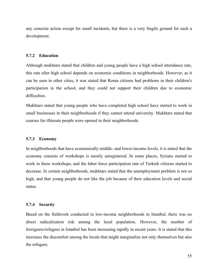any concrete action except for small incidents, but there is a very fragile ground for such a development.

### **5.7.2 Education**

Although mukhtars stated that children and young people have a high school attendance rate, this rate after high school depends on economic conditions in neighborhoods. However, as it can be seen in other cities, it was stated that Roma citizens had problems in their children's participation in the school, and they could not support their children due to economic difficulties.

Mukhtars stated that young people who have completed high school have started to work in small businesses in their neighborhoods if they cannot attend university. Mukhtars stated that courses for illiterate people were opened in their neighborhoods.

### **5.7.3 Economy**

In neighborhoods that have economically middle- and lower-income levels, it is stated that the economy consists of workshops is mostly unregistered. In some places, Syrians started to work in these workshops, and the labor force participation rate of Turkish citizens started to decrease. In certain neighborhoods, mukhtars stated that the unemployment problem is not so high, and that young people do not like the job because of their education levels and social status.

#### **5.7.4 Security**

Based on the fieldwork conducted in low-income neighborhoods in Istanbul, there was no direct radicalization risk among the local population. However, the number of foreigners/refugees in Istanbul has been increasing rapidly in recent years. It is stated that this increases the discomfort among the locals that might marginalize not only themselves but also the refugees.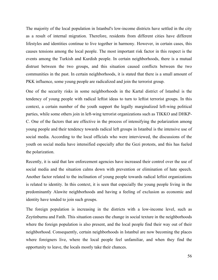The majority of the local population in Istanbul's low-income districts have settled in the city as a result of internal migration. Therefore, residents from different cities have different lifestyles and identities continue to live together in harmony. However, in certain cases, this causes tensions among the local people. The most important risk factor in this respect is the events among the Turkish and Kurdish people. In certain neighborhoods, there is a mutual distrust between the two groups, and this situation caused conflicts between the two communities in the past. In certain neighborhoods, it is stated that there is a small amount of PKK influence, some young people are radicalized and join the terrorist group.

One of the security risks in some neighborhoods in the Kartal district of Istanbul is the tendency of young people with radical leftist ideas to turn to leftist terrorist groups. In this context, a certain number of the youth support the legally marginalized left-wing political parties, while some others join in left-wing terrorist organizations such as TIKKO and DHKP-C. One of the factors that are effective in the process of intensifying the polarization among young people and their tendency towards radical left groups in Istanbul is the intensive use of social media. According to the local officials who were interviewed, the discussions of the youth on social media have intensified especially after the Gezi protests, and this has fueled the polarization.

Recently, it is said that law enforcement agencies have increased their control over the use of social media and the situation calms down with prevention or elimination of hate speech. Another factor related to the inclination of young people towards radical leftist organizations is related to identity. In this context, it is seen that especially the young people living in the predominantly Alawite neighborhoods and having a feeling of exclusion as economic and identity have tended to join such groups.

The foreign population is increasing in the districts with a low-income level, such as Zeytinburnu and Fatih. This situation causes the change in social texture in the neighborhoods where the foreign population is also present, and the local people find their way out of their neighborhood. Consequently, certain neighborhoods in Istanbul are now becoming the places where foreigners live, where the local people feel unfamiliar, and when they find the opportunity to leave, the locals mostly take their chances.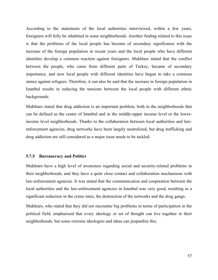According to the statements of the local authorities interviewed, within a few years, foreigners will fully be inhabited in some neighborhoods. Another finding related to this issue is that the problems of the local people has become of secondary significance with the increase of the foreign population in recent years and the local people who have different identities develop a common reaction against foreigners. Mukhtars stated that the conflict between the people, who came from different parts of Turkey, became of secondary importance, and now local people with different identities have begun to take a common stance against refugees. Therefore, it can also be said that the increase in foreign population in Istanbul results in reducing the tensions between the local people with different ethnic backgrounds.

Mukhtars stated that drug addiction is an important problem, both in the neighborhoods that can be defined as the center of Istanbul and in the middle-upper income level or the lowerincome level neighborhoods. Thanks to the collaboration between local authorities and lawenforcement agencies, drug networks have been largely neutralized, but drug trafficking and drug addiction are still considered as a major issue needs to be tackled.

# **5.7.5 Bureaucracy and Politics**

Mukhtars have a high level of awareness regarding social and security-related problems in their neighborhoods, and they have a quite close contact and collaboration mechanisms with law-enforcement agencies. It was stated that the communication and cooperation between the local authorities and the law-enforcement agencies in Istanbul was very good, resulting in a significant reduction in the crime rates, the destruction of the networks and the drug gangs.

Mukhtars, who stated that they did not encounter big problems in terms of participation in the political field, emphasized that every ideology or set of thought can live together in their neighborhoods, but some extreme ideologies and ideas can jeopardize this.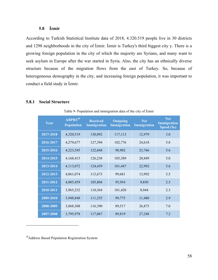# **5.8 İzmir**

According to Turkish Statistical Institute data of 2018, 4.320.519 people live in 30 districts and 1298 neighborhoods in the city of İzmir. İzmir is Turkey's third biggest city y. There is a growing foreign population in the city of which the majority are Syrians, and many want to seek asylum in Europe after the war started in Syria. Also, the city has an ethnically diverse structure because of the migration flows from the east of Turkey. So, because of heterogeneous demography in the city, and increasing foreign population, it was important to conduct a field study in İzmir.

## **5.8.1 Social Structure**

Table 9- Population and immigration data of the city of İzmir

| Year      | ABPRS <sup>38</sup><br><b>Population</b> | <b>Received</b><br><b>Immigration</b> | <b>Outgoing</b><br>Immigration | <b>Net</b><br>Immigration | <b>Net</b><br><b>Immigration</b><br>Speed (‰) |
|-----------|------------------------------------------|---------------------------------------|--------------------------------|---------------------------|-----------------------------------------------|
| 2017-2018 | 4,320,519                                | 130,092                               | 117,113                        | 12,979                    | 3.0                                           |
| 2016-2017 | 4,279,677                                | 127,394                               | 102,776                        | 24,618                    | 5.8                                           |
| 2015-2016 | 4,223,545                                | 122,668                               | 98,902                         | 23,766                    | 5.6                                           |
| 2014-2015 | 4,168,415                                | 126,238                               | 105,389                        | 20,849                    | 5.0                                           |
| 2013-2014 | 4,113,072                                | 124,439                               | 101,447                        | 22,992                    | 5.6                                           |
| 2012-2013 | 4,061,074                                | 113,673                               | 99,681                         | 13,992                    | 3.5                                           |
| 2011-2012 | 4,005,459                                | 105,804                               | 95,954                         | 9,850                     | 2.5                                           |
| 2010-2011 | 3,965,232                                | 110,364                               | 101,420                        | 8,944                     | 2.3                                           |
| 2009-2010 | 3,948,848                                | 111,255                               | 99,775                         | 11,480                    | 2.9                                           |
| 2008-2009 | 3,868,308                                | 116,390                               | 89,517                         | 26,873                    | 7.0                                           |
| 2007-2008 | 3,795,978                                | 117,067                               | 89,819                         | 27,248                    | 7.2                                           |

<sup>38</sup>Address Based Population Registration System

 $\overline{a}$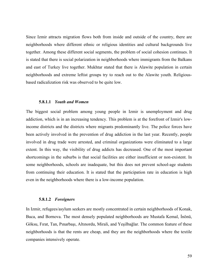Since Izmir attracts migration flows both from inside and outside of the country, there are neighborhoods where different ethnic or religious identities and cultural backgrounds live together. Among these different social segments, the problem of social cohesion continues. It is stated that there is social polarization in neighborhoods where immigrants from the Balkans and east of Turkey live together. Mukhtar stated that there is Alawite population in certain neighborhoods and extreme leftist groups try to reach out to the Alawite youth. Religiousbased radicalization risk was observed to be quite low.

## **5.8.1.1** *Youth and Women*

The biggest social problem among young people in Izmir is unemployment and drug addiction, which is in an increasing tendency. This problem is at the forefront of Izmir's lowincome districts and the districts where migrants predominantly live. The police forces have been actively involved in the prevention of drug addiction in the last year. Recently, people involved in drug trade were arrested, and criminal organizations were eliminated to a large extent. In this way, the visibility of drug addicts has decreased. One of the most important shortcomings in the suburbs is that social facilities are either insufficient or non-existent. In some neighborhoods, schools are inadequate, but this does not prevent school-age students from continuing their education. It is stated that the participation rate in education is high even in the neighborhoods where there is a low-income population.

# **5.8.1.2** *Foreigners*

In Izmir, refugees/asylum seekers are mostly concentrated in certain neighborhoods of Konak, Buca, and Bornova. The most densely populated neighborhoods are Mustafa Kemal, İnönü, Göksu, Fırat, Tan, Pınarbaşı, Altınordu, Mirali, and Yeşilbağlar. The common feature of these neighborhoods is that the rents are cheap, and they are the neighborhoods where the textile companies intensively operate.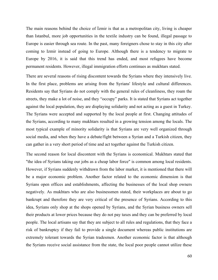The main reasons behind the choice of İzmir is that as a metropolitan city, living is cheaper than Istanbul, more job opportunities in the textile industry can be found, illegal passage to Europe is easier through sea route. In the past, many foreigners chose to stay in this city after coming to Izmir instead of going to Europe. Although there is a tendency to migrate to Europe by 2016, it is said that this trend has ended, and most refugees have become permanent residents. However, illegal immigration efforts continues as mukhtars stated.

There are several reasons of rising discontent towards the Syrians where they intensively live. In the first place, problems are arising from the Syrians' lifestyle and cultural differences. Residents say that Syrians do not comply with the general rules of cleanliness, they roam the streets, they make a lot of noise, and they "occupy" parks. It is stated that Syrians act together against the local population, they are displaying solidarity and not acting as a guest in Turkey. The Syrians were accepted and supported by the local people at first. Changing attitudes of the Syrians, according to many mukhtars resulted in a growing tension among the locals. The most typical example of minority solidarity is that Syrians are very well organized through social media, and when they have a debate/fight between a Syrian and a Turkish citizen, they can gather in a very short period of time and act together against the Turkish citizen.

The second reason for local discontent with the Syrians is economical. Mukhtars stated that "the idea of Syrians taking our jobs as a cheap labor force" is common among local residents. However, if Syrians suddenly withdrawn from the labor market, it is mentioned that there will be a major economic problem. Another factor related to the economic dimension is that Syrians open offices and establishments, affecting the businesses of the local shop owners negatively. As mukhtars who are also businessmen stated, their workplaces are about to go bankrupt and therefore they are very critical of the presence of Syrians. According to this idea, Syrians only shop at the shops opened by Syrians, and the Syrian business owners sell their products at lower prices because they do not pay taxes and they can be preferred by local people. The local artisans say that they are subject to all rules and regulations, that they face a risk of bankruptcy if they fail to provide a single document whereas public institutions are extremely tolerant towards the Syrian tradesmen. Another economic factor is that although the Syrians receive social assistance from the state, the local poor people cannot utilize these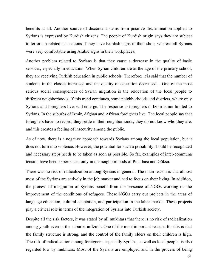benefits at all. Another source of discontent stems from positive discrimination applied to Syrians is expressed by Kurdish citizens. The people of Kurdish origin says they are subject to terrorism-related accusations if they have Kurdish signs in their shop, whereas all Syrians were very comfortable using Arabic signs in their workplaces.

Another problem related to Syrians is that they cause a decrease in the quality of basic services, especially in education. When Syrian children are at the age of the primary school, they are receiving Turkish education in public schools. Therefore, it is said that the number of students in the classes increased and the quality of education decreased. . One of the most serious social consequences of Syrian migration is the relocation of the local people to different neighborhoods. If this trend continues, some neighborhoods and districts, where only Syrians and foreigners live, will emerge. The response to foreigners in Izmir is not limited to Syrians. In the suburbs of Izmir, Afghan and African foreigners live. The local people say that foreigners have no record, they settle in their neighborhoods, they do not know who they are, and this creates a feeling of insecurity among the public.

As of now, there is a negative approach towards Syrians among the local population, but it does not turn into violence. However, the potential for such a possibility should be recognized and necessary steps needs to be taken as soon as possible. So far, examples of inter-communa tension have been experienced only in the neighborhoods of Pınarbaşı and Göksu.

There was no risk of radicalization among Syrians in general. The main reason is that almost most of the Syrians are actively in the job market and had to focus on their living. In addition, the process of integration of Syrians benefit from the presence of NGOs working on the improvement of the conditions of refugees. These NGOs carry out projects in the areas of language education, cultural adaptation, and participation in the labor market. These projects play a critical role in terms of the integration of Syrians into Turkish society.

Despite all the risk factors, it was stated by all mukhtars that there is no risk of radicalization among youth even in the suburbs in Izmir. One of the most important reasons for this is that the family structure is strong, and the control of the family elders on their children is high. The risk of radicalization among foreigners, especially Syrians, as well as local people, is also regarded low by mukhtars. Most of the Syrians are employed and in the process of being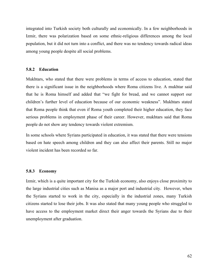integrated into Turkish society both culturally and economically. In a few neighborhoods in Izmir, there was polarization based on some ethnic-religious differences among the local population, but it did not turn into a conflict, and there was no tendency towards radical ideas among young people despite all social problems.

## **5.8.2 Education**

Mukhtars, who stated that there were problems in terms of access to education, stated that there is a significant issue in the neighborhoods where Roma citizens live. A mukhtar said that he is Roma himself and added that "we fight for bread, and we cannot support our children's further level of education because of our economic weakness". Mukhtars stated that Roma people think that even if Roma youth completed their higher education, they face serious problems in employment phase of their career. However, mukhtars said that Roma people do not show any tendency towards violent extremism.

In some schools where Syrians participated in education, it was stated that there were tensions based on hate speech among children and they can also affect their parents. Still no major violent incident has been recorded so far.

# **5.8.3 Economy**

Izmir, which is a quite important city for the Turkish economy, also enjoys close proximity to the large industrial cities such as Manisa as a major port and industrial city. However, when the Syrians started to work in the city, especially in the industrial zones, many Turkish citizens started to lose their jobs. It was also stated that many young people who struggled to have access to the employment market direct their anger towards the Syrians due to their unemployment after graduation.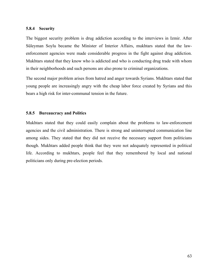### **5.8.4 Security**

The biggest security problem is drug addiction according to the interviews in Izmir. After Süleyman Soylu became the Minister of Interior Affairs, mukhtars stated that the lawenforcement agencies were made considerable progress in the fight against drug addiction. Mukhtars stated that they know who is addicted and who is conducting drug trade with whom in their neighborhoods and such persons are also prone to criminal organizations.

The second major problem arises from hatred and anger towards Syrians. Mukhtars stated that young people are increasingly angry with the cheap labor force created by Syrians and this bears a high risk for inter-communal tension in the future.

## **5.8.5 Bureaucracy and Politics**

Mukhtars stated that they could easily complain about the problems to law-enforcement agencies and the civil administration. There is strong and uninterrupted communication line among sides. They stated that they did not receive the necessary support from politicians though. Mukhtars added people think that they were not adequately represented in political life. According to mukhtars, people feel that they remembered by local and national politicians only during pre-election periods.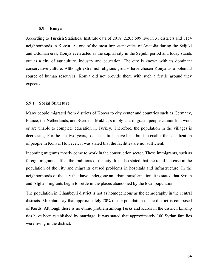### **5.9 Konya**

According to Turkish Statistical Institute data of 2018, 2.205.609 live in 31 districts and 1154 neighborhoods in Konya. As one of the most important cities of Anatolia during the Seljuki and Ottoman eras, Konya even acted as the capital city in the Seljuki period and today stands out as a city of agriculture, industry and education. The city is known with its dominant conservative culture. Although extremist religious groups have chosen Konya as a potential source of human resources, Konya did not provide them with such a fertile ground they expected.

## **5.9.1 Social Structure**

Many people migrated from districts of Konya to city center and countries such as Germany, France, the Netherlands, and Sweden.. Mukhtars imply that migrated people cannot find work or are unable to complete education in Turkey. Therefore, the population in the villages is decreasing. For the last two years, social facilities have been built to enable the socialization of people in Konya. However, it was stated that the facilities are not sufficient.

Incoming migrants mostly come to work in the construction sector. These immigrants, such as foreign migrants, affect the traditions of the city. It is also stated that the rapid increase in the population of the city and migrants caused problems in hospitals and infrastructure. In the neighborhoods of the city that have undergone an urban transformation, it is stated that Syrian and Afghan migrants begin to settle in the places abandoned by the local population.

The population in Cihanbeyli district is not as homogeneous as the demography in the central districts. Mukhtars say that approximately 70% of the population of the district is composed of Kurds. Although there is no ethnic problem among Turks and Kurds in the district, kinship ties have been established by marriage. It was stated that approximately 100 Syrian families were living in the district.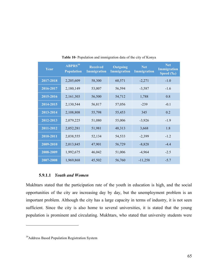| Year      | <b>ABPRS</b> <sup>39</sup><br><b>Population</b> | <b>Received</b><br><b>Immigration</b> | <b>Outgoing</b><br><b>Immigration</b> | <b>Net</b><br>Immigration | <b>Net</b><br><b>Immigration</b><br>Speed (%o) |
|-----------|-------------------------------------------------|---------------------------------------|---------------------------------------|---------------------------|------------------------------------------------|
| 2017-2018 | 2,205,609                                       | 58,300                                | 60,571                                | $-2,271$                  | $-1.0$                                         |
| 2016-2017 | 2,180,149                                       | 53,007                                | 56,594                                | $-3,587$                  | $-1.6$                                         |
| 2015-2016 | 2,161,303                                       | 56,500                                | 54,712                                | 1,788                     | 0.8                                            |
| 2014-2015 | 2,130,544                                       | 56,817                                | 57,056                                | $-239$                    | $-0.1$                                         |
| 2013-2014 | 2,108,808                                       | 55,798                                | 55,453                                | 345                       | 0.2                                            |
| 2012-2013 | 2,079,225                                       | 51,080                                | 55,006                                | $-3,926$                  | $-1.9$                                         |
| 2011-2012 | 2,052,281                                       | 51,981                                | 48,313                                | 3,668                     | 1.8                                            |
| 2010-2011 | 2,038,555                                       | 52,134                                | 54,533                                | $-2,399$                  | $-1.2$                                         |
| 2009-2010 | 2,013,845                                       | 47,901                                | 56,729                                | $-8,828$                  | $-4.4$                                         |
| 2008-2009 | 1,992,675                                       | 46,042                                | 51,006                                | $-4,964$                  | $-2.5$                                         |
| 2007-2008 | 1,969,868                                       | 45,502                                | 56,760                                | $-11,258$                 | $-5.7$                                         |

**Table 10**- Population and immigration data of the city of Konya

# **5.9.1.1** *Youth and Women*

Mukhtars stated that the participation rate of the youth in education is high, and the social opportunities of the city are increasing day by day, but the unemployment problem is an important problem. Although the city has a large capacity in terms of industry, it is not seen sufficient. Since the city is also home to several universities, it is stated that the young population is prominent and circulating. Mukhtars, who stated that university students were

 $\overline{a}$ 

<sup>&</sup>lt;sup>39</sup>Address Based Population Registration System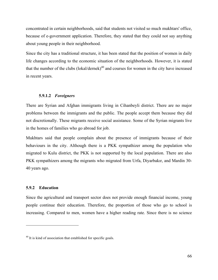concentrated in certain neighborhoods, said that students not visited so much mukhtars' office, because of e-government application. Therefore, they stated that they could not say anything about young people in their neighborhood.

Since the city has a traditional structure, it has been stated that the position of women in daily life changes according to the economic situation of the neighborhoods. However, it is stated that the number of the clubs  $(lokal/dernek)<sup>40</sup>$  and courses for women in the city have increased in recent years.

# **5.9.1.2** *Foreigners*

There are Syrian and Afghan immigrants living in Cihanbeyli district. There are no major problems between the immigrants and the public. The people accept them because they did not discretionally. These migrants receive social assistance. Some of the Syrian migrants live in the homes of families who go abroad for job.

Mukhtars said that people complain about the presence of immigrants because of their behaviours in the city. Although there is a PKK sympathizer among the population who migrated to Kulu district, the PKK is not supported by the local population. There are also PKK sympathizers among the migrants who migrated from Urfa, Diyarbakır, and Mardin 30- 40 years ago.

# **5.9.2 Education**

 $\overline{a}$ 

Since the agricultural and transport sector does not provide enough financial income, young people continue their education. Therefore, the proportion of those who go to school is increasing. Compared to men, women have a higher reading rate. Since there is no science

 $40$  It is kind of association that established for specific goals.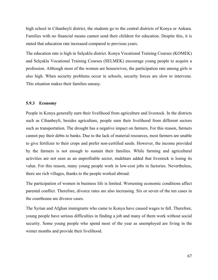high school in Cihanbeyli district, the students go to the central districts of Konya or Ankara. Families with no financial means cannot send their children for education. Despite this, it is stated that education rate increased compared to previous years.

The education rate is high in Selçuklu district. Konya Vocational Training Courses (KOMEK) and Selçuklu Vocational Training Courses (SELMEK) encourage young people to acquire a profession. Although most of the women are housewives, the participation rate among girls is also high. When security problems occur in schools, security forces are slow to intervene. This situation makes their families uneasy.

## **5.9.3 Economy**

People in Konya generally earn their livelihood from agriculture and livestock. In the districts such as Cihanbeyli, besides agriculture, people earn their livelihood from different sectors such as transportation. The drought has a negative impact on farmers. For this reason, farmers cannot pay their debts to banks. Due to the lack of material resources, most farmers are unable to give fertilizer to their crops and prefer non-certified seeds. However, the income provided by the farmers is not enough to sustain their families. While farming and agricultural activities are not seen as an unprofitable sector, mukhtars added that livestock is losing its value. For this reason, many young people work in low-cost jobs in factories. Nevertheless, there are rich villages, thanks to the people worked abroad.

The participation of women in business life is limited. Worsening economic conditions affect parental conflict. Therefore, divorce rates are also increasing. Six or seven of the ten cases in the courthouse are divorce cases.

The Syrian and Afghan immigrants who came to Konya have caused wages to fall. Therefore, young people have serious difficulties in finding a job and many of them work without social security. Some young people who spend most of the year as unemployed are living in the winter months and provide their livelihood.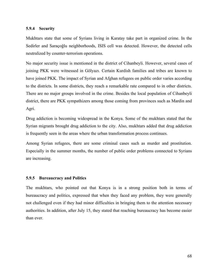# **5.9.4 Security**

Mukhtars state that some of Syrians living in Karatay take part in organized crime. In the Sedirler and Saraçoğlu neighborhoods, ISIS cell was detected. However, the detected cells neutralized by counter-terrorism operations.

No major security issue is mentioned in the district of Cihanbeyli. However, several cases of joining PKK were witnessed in Gölyazı. Certain Kurdish families and tribes are known to have joined PKK. The impact of Syrian and Afghan refugees on public order varies according to the districts. In some districts, they reach a remarkable rate compared to in other districts. There are no major groups involved in the crime. Besides the local population of Cihanbeyli district, there are PKK sympathizers among those coming from provinces such as Mardin and Agri.

Drug addiction is becoming widespread in the Konya. Some of the mukhtars stated that the Syrian migrants brought drug addiction to the city. Also, mukhtars added that drug addiction is frequently seen in the areas where the urban transformation process continues.

Among Syrian refugees, there are some criminal cases such as murder and prostitution. Especially in the summer months, the number of public order problems connected to Syrians are increasing.

### **5.9.5 Bureaucracy and Politics**

The mukhtars, who pointed out that Konya is in a strong position both in terms of bureaucracy and politics, expressed that when they faced any problem, they were generally not challenged even if they had minor difficulties in bringing them to the attention necessary authorities. In addition, after July 15, they stated that reaching bureaucracy has become easier than ever.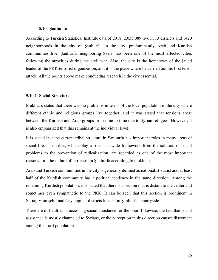## **5.10 Şanlıurfa**

According to Turkish Statistical Institute data of 2018, 2.035.089 live in 13 districts and 1420 neighborhoods in the city of Şanlıurfa. In the city, predominantly Arab and Kurdish communities live. Şanlıurfa, neighboring Syria, has been one of the most affected cities following the atrocities during the civil war. Also, the city is the hometown of the jailed leader of the PKK terrorist organization, and it is the place where he carried out his first terror attack. All the points above make conducting research in the city essential.

# **5.10.1 Social Structure**

Mukhtars stated that there was no problems in terms of the local population in the city where different ethnic and religious groups live together, and it was stated that tensions arose between the Kurdish and Arab groups from time to time due to Syrian refugees. However, it is also emphasized that this remains at the individual level.

It is stated that the current tribal structure in Şanlıurfa has important roles in many areas of social life. The tribes, which play a role in a wide framework from the solution of social problems to the prevention of radicalization, are regarded as one of the most important reasons for the failure of terrorism in Şanlıurfa according to mukhtars.

Arab and Turkish communities in the city is generally defined as nationalist-statist and at least half of the Kurdish community has a political tendency in the same direction. Among the remaining Kurdish population, it is stated that there is a section that is distant to the center and sometimes even sympathetic to the PKK. It can be seen that this section is prominent in Suruç, Viranşehir and Ceylanpınar districts located in Şanlıurfa countryside.

There are difficulties in accessing social assistance for the poor. Likewise, the fact that social assistance is mostly channeled to Syrians, or the perception in this direction causes discontent among the local population.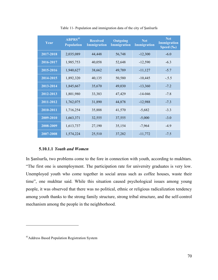| Year      | $ABPRS^{41}$<br><b>Population</b> | <b>Received</b><br><b>Immigration</b> | <b>Outgoing</b><br><b>Immigration</b> | <b>Net</b><br><b>Immigration</b> | <b>Net</b><br><b>Immigration</b><br>Speed (‰) |
|-----------|-----------------------------------|---------------------------------------|---------------------------------------|----------------------------------|-----------------------------------------------|
| 2017-2018 | 2,035,089                         | 44,448                                | 56,748                                | $-12,300$                        | $-6.0$                                        |
| 2016-2017 | 1,985,753                         | 40,058                                | 52,648                                | $-12,590$                        | $-6.3$                                        |
| 2015-2016 | 1,940,627                         | 38,662                                | 49,789                                | $-11,127$                        | $-5.7$                                        |
| 2014-2015 | 1,892,320                         | 40,135                                | 50,580                                | $-10,445$                        | $-.5.5$                                       |
| 2013-2014 | 1,845,667                         | 35,670                                | 49,030                                | $-13,360$                        | $-7.2$                                        |
| 2012-2013 | 1,801,980                         | 33,383                                | 47,429                                | $-14 - 046$                      | $-7.8$                                        |
| 2011-2012 | 1,762,075                         | 31,890                                | 44,878                                | $-12,988$                        | $-7.3$                                        |
| 2010-2011 | 1,716,254                         | 35,888                                | 41,570                                | $-5,682$                         | $-3.3$                                        |
| 2009-2010 | 1,663,371                         | 32,555                                | 37,555                                | $-5,000$                         | $-3.0$                                        |
| 2008-2009 | 1,613,737                         | 27,190                                | 35,154                                | $-7,964$                         | $-4.9$                                        |
| 2007-2008 | 1,574,224                         | 25,510                                | 37,282                                | $-11,772$                        | $-7.5$                                        |

Table 11- Population and immigration data of the city of Şanlıurfa

# **5.10.1.1** *Youth and Women*

In Şanlıurfa, two problems come to the fore in connection with youth, according to mukhtars. "The first one is unemployment. The participation rate for university graduates is very low. Unemployed youth who come together in social areas such as coffee houses, waste their time", one mukhtar said. While this situation caused psychological issues among young people, it was observed that there was no political, ethnic or religious radicalization tendency among youth thanks to the strong family structure, strong tribal structure, and the self-control mechanism among the people in the neighborhood.

 $\overline{a}$ 

<sup>41</sup>Address Based Population Registration System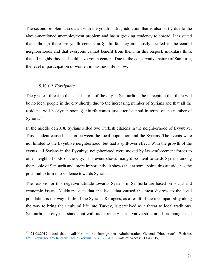The second problem associated with the youth is drug addiction that is also partly due to the above-mentioned unemployment problem and has a growing tendency to spread. It is stated that although there are youth centers in Şanlıurfa, they are mostly located in the central neighborhoods and that everyone cannot benefit from them. In this respect, mukhtars think that all neighborhoods should have youth centers. Due to the conservative nature of Şanlıurfa, the level of participation of women in business life is low.

### **5.10.1.2** *Foreigners*

 $\overline{a}$ 

The greatest threat to the social fabric of the city in Şanlıurfa is the perception that there will be no local people in the city shortly due to the increasing number of Syrians and that all the residents will be Syrian soon. Şanlıurfa comes just after Istanbul in terms of the number of Syrians. 42

In the middle of 2018, Syrians killed two Turkish citizens in the neighborhood of Eyyubiye. This incident caused tension between the local population and the Syrians. The events were not limited to the Eyyubiye neighborhood, but had a spill-over effect. With the growth of the events, all Syrians in the Eyyubiye neighborhood were moved by law-enforcement forces to other neighborhoods of the city. This event shows rising discontent towards Syrians among the people of Şanlıurfa and, more importantly, it shows that at some point, this attutide has the potential to turn into violence towards Syrians.

The reasons for this negative attitude towards Syrians in Şanlıurfa are based on social and economic issues. Mukhtars state that the issue that caused the most distress to the local population is the way of life of the Syrians. Refugees, as a result of the incompatibility along the way to bring their cultural life into Turkey, is perceived as a threat to local traditions. Şanlıurfa is a city that stands out with its extremely conservative structure. It is thought that

<sup>&</sup>lt;sup>42</sup> 21.03.2019 dated data available on the Immigration Administration General Directorate's Website. http://www.goc.gov.tr/icerik3/gecici-koruma\_363\_378\_4713 (Date of Access: 01.04.2019)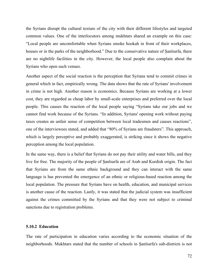the Syrians disrupt the cultural texture of the city with their different lifestyles and targeted common values. One of the interlocutors among mukhtars shared an example on this case: "Local people are uncomfortable when Syrians smoke hookah in front of their workplaces, houses or in the parks of the neighborhood." Due to the conservative nature of Sanlurfa, there are no nightlife facilities in the city. However, the local people also complain about the Syrians who open such venues.

Another aspect of the social reaction is the perception that Syrians tend to commit crimes in general which in fact, empirically wrong. The data shows that the rate of Syrians' involvement in crime is not high. Another reason is economics. Because Syrians are working at a lower cost, they are regarded as cheap labor by small-scale enterprises and preferred over the local people. This causes the reaction of the local people saying "Syrians take our jobs and we cannot find work because of the Syrians. "In addition, Syrians' opening work without paying taxes creates an unfair sense of competition between local tradesmen and causes reactions", one of the interviewees stated, and added that "80% of Syrians are fraudsters". This approach, which is largely perceptive and probably exaggerated, is striking since it shows the negative perception among the local population.

In the same way, there is a belief that Syrians do not pay their utility and water bills, and they live for free. The majority of the people of Şanlıurfa are of Arab and Kurdish origin. The fact that Syrians are from the same ethnic background and they can interact with the same language is has prevented the emergence of an ethnic or religious-based reaction among the local population. The pressure that Syrians have on health, education, and municipal services is another cause of the reaction. Lastly, it was stated that the judicial system was insufficient against the crimes committed by the Syrians and that they were not subject to criminal sanctions due to registration problems.

## **5.10.2 Education**

The rate of participation in education varies according to the economic situation of the neighborhoods. Mukhtars stated that the number of schools in Şanlıurfa's sub-districts is not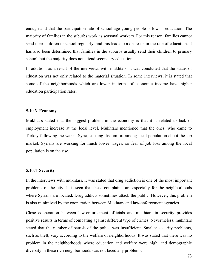enough and that the participation rate of school-age young people is low in education. The majority of families in the suburbs work as seasonal workers. For this reason, families cannot send their children to school regularly, and this leads to a decrease in the rate of education. It has also been determined that families in the suburbs usually send their children to primary school, but the majority does not attend secondary education.

In addition, as a result of the interviews with mukhtars, it was concluded that the status of education was not only related to the material situation. In some interviews, it is stated that some of the neighborhoods which are lower in terms of economic income have higher education participation rates.

### **5.10.3 Economy**

Mukhtars stated that the biggest problem in the economy is that it is related to lack of employment increase at the local level. Mukhtars mentioned that the ones, who came to Turkey following the war in Syria, causing discomfort among local population about the job market. Syrians are working for much lower wages, so fear of job loss among the local population is on the rise.

### **5.10.4 Security**

In the interviews with mukhtars, it was stated that drug addiction is one of the most important problems of the city. It is seen that these complaints are especially for the neighborhoods where Syrians are located. Drug addicts sometimes attack the public. However, this problem is also minimized by the cooperation between Mukhtars and law-enforcement agencies.

Close cooperation between law-enforcement officials and mukhtars in security provides positive results in terms of combating against different type of crimes. Nevertheless, mukhtars stated that the number of patrols of the police was insufficient. Smaller security problems, such as theft, vary according to the welfare of neighborhoods. It was stated that there was no problem in the neighborhoods where education and welfare were high, and demographic diversity in these rich neighborhoods was not faced any problems.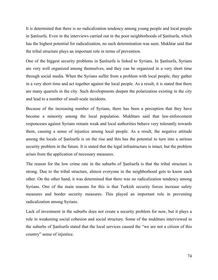It is determined that there is no radicalization tendency among young people and local people in Şanlıurfa. Even in the interviews carried out in the poor neighborhoods of Şanlıurfa, which has the highest potential for radicalization, no such determination was seen. Mukhtar said that the tribal structure plays an important role in terms of prevention.

One of the biggest security problems in Şanlıurfa is linked to Syrians. In Şanlıurfa, Syrians are very well organized among themselves, and they can be organized in a very short time through social media. When the Syrians suffer from a problem with local people, they gather in a very short time and act together against the local people. As a result, it is stated that there are many quarrels in the city. Such developments deepen the polarization existing in the city and lead to a number of small-scale incidents.

Because of the increasing number of Syrians, there has been a perception that they have become a minority among the local population. Mukhtars said that law-enforcement responceses against Syrians remain weak and local authorities behave very tolerantly towards them, causing a sense of injustice among local people. As a result, the negative attitude among the locals of Şanlıurfa is on the rise and this has the potential to turn into a serious security problem in the future. It is stated that the legal infrastructure is intact, but the problem arises from the application of necessary measures.

The reason for the low crime rate in the suburbs of Şanlıurfa is that the tribal structure is strong. Due to the tribal structure, almost everyone in the neighborhood gets to know each other. On the other hand, it was determined that there was no radicalization tendency among Syrians. One of the main reasons for this is that Turkish security forces increase safety measures and border security measures. This played an important role in preventing radicalization among Syrians.

Lack of investment in the suburbs does not create a security problem for now, but it plays a role in weakening social cohesion and social structure. Some of the mukhtars interviewed in the suburbs of Şanlıurfa stated that the local services caused the "we are not a citizen of this country" sense of injustice.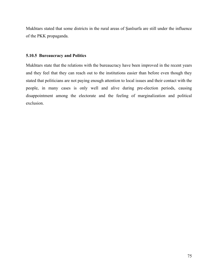Mukhtars stated that some districts in the rural areas of Şanlıurfa are still under the influence of the PKK propaganda.

## **5.10.5 Bureaucracy and Politics**

Mukhtars state that the relations with the bureaucracy have been improved in the recent years and they feel that they can reach out to the institutions easier than before even though they stated that politicians are not paying enough attention to local issues and their contact with the people, in many cases is only well and alive during pre-election periods, causing disappointment among the electorate and the feeling of marginalization and political exclusion.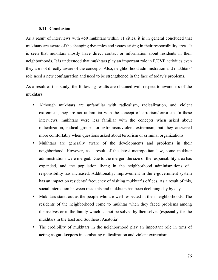## **5.11 Conclusion**

As a result of interviews with 450 mukhtars within 11 cities, it is in general concluded that mukhtars are aware of the changing dynamics and issues arising in their responsibility area . It is seen that mukhtars mostly have direct contact or information about residents in their neighborhoods. It is understood that mukhtars play an important role in P/CVE activities even they are not directly aware of the concepts. Also, neighborhood administration and mukhtars' role need a new configuration and need to be strengthened in the face of today's problems.

As a result of this study, the following results are obtained with respect to awareness of the mukhtars:

- Although mukhtars are unfamiliar with radicalism, radicalization, and violent extremism, they are not unfamiliar with the concept of terrorism/terrorism. In these interviews, mukhtars were less familiar with the concepts when asked about radicalization, radical groups, or extremism/violent extremism, but they answered more comfortably when questions asked about terrorism or criminal organizations.
- Mukhtars are generally aware of the developments and problems in their neighborhood. However, as a result of the latest metropolitan law, some mukhtar administrations were merged. Due to the merger, the size of the responsibility area has expanded, and the population living in the neighborhood administrations of responsibility has increased. Additionally, improvement in the e-government system has an impact on residents' frequency of visiting mukhtar's offices. As a result of this, social interaction between residents and mukhtars has been declining day by day.
- Mukhtars stand out as the people who are well respected in their neighborhoods. The residents of the neighborhood come to mukhtar when they faced problems among themselves or in the family which cannot be solved by themselves (especially for the mukhtars in the East and Southeast Anatolia).
- The credibility of mukhtars in the neighborhood play an important role in trms of acting as **gatekeepers** in combating radicalization and violent extremism.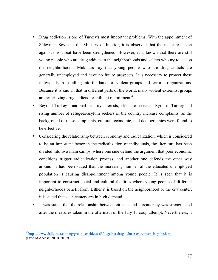- Drug addiction is one of Turkey's most important problems. With the appointment of Süleyman Soylu as the Ministry of Interior, it is observed that the measures taken against this threat have been strengthened. However, it is known that there are still young people who are drug addicts in the neighborhoods and sellers who try to access the neighborhoods. Mukhtars say that young people who are drug addicts are generally unemployed and have no future prospects. It is necessary to protect these individuals from falling into the hands of violent groups and terrorist organizations. Because it is known that in different parts of the world, many violent extremist groups are prioritizing drug addicts for militant recruitment.<sup>43</sup>
- Beyond Turkey's national security interests, effects of crisis in Syria to Turkey and rising number of refugees/asylum seekers in the country increase complaints. as the background of these complaints, cultural, economic, and demographics were found to be effective.
- Considering the relationship between economy and radicalization, which is considered to be an important factor in the radicalization of individuals, the literature has been divided into two main camps, where one side defend the argument that poor economic conditions trigger radicalization process, and another one defends the other way around. It has been stated that the increasing number of the educated unemployed population is causing disappointment among young people. It is seen that it is important to construct social and cultural facilities where young people of different neighborhoods benefit from. Either it is based on the neighborhood or the city center, it is stated that such centers are in high demand.
- It was stated that the relationship between citizens and bureaucracy was strengthened after the measures taken in the aftermath of the July 15 coup attempt. Nevertheless, it

 $\overline{a}$ 

<sup>43</sup>https://www.dailytrust.com.ng/group-sensitizes-650-against-drugs-abuse-extremism-in-yobe.html (Date of Access: 20.01.2019)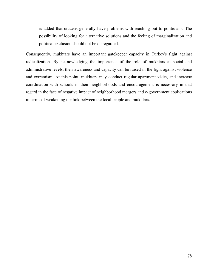is added that citizens generally have problems with reaching out to politicians. The possibility of looking for alternative solutions and the feeling of marginalization and political exclusion should not be disregarded.

Consequently, mukhtars have an important gatekeeper capacity in Turkey's fight against radicalization. By acknowledging the importance of the role of mukhtars at social and administrative levels, their awareness and capacity can be raised in the fight against violence and extremism. At this point, mukhtars may conduct regular apartment visits, and increase coordination with schools in their neighborhoods and encouragement is necessary in that regard in the face of negative impact of neighborhood mergers and e-government applications in terms of weakening the link between the local people and mukhtars.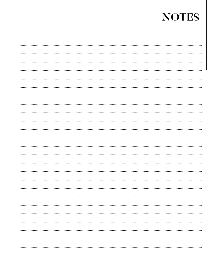# **NOTES**

| . |
|---|
|   |
|   |
|   |
|   |
|   |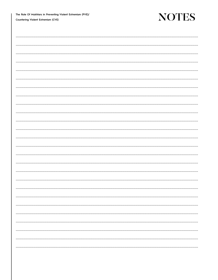The Role Of Mukhtars in Preventing Violent Extremism (PVE)/ Countering Violent Extremism (CVE)

## **NOTES**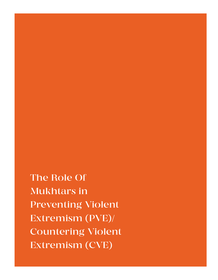The Role Of Mukhtars in Preventing Violent Extremism (PVE)/ Countering Violent Extremism (CVE)